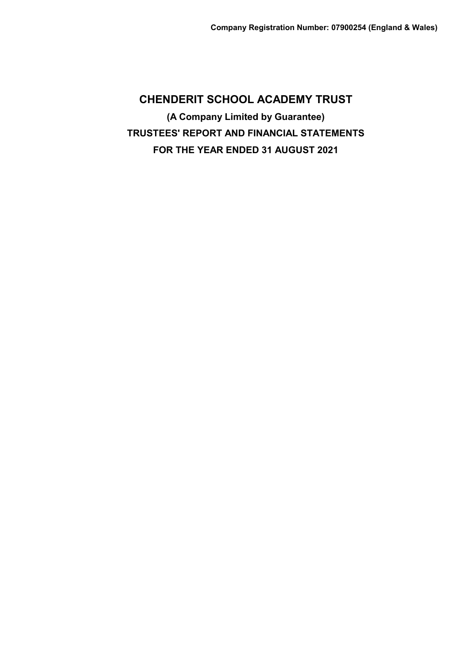**CHENDERIT SCHOOL ACADEMY TRUST (A Company Limited by Guarantee) TRUSTEES' REPORT AND FINANCIAL STATEMENTS FOR THE YEAR ENDED 31 AUGUST 2021**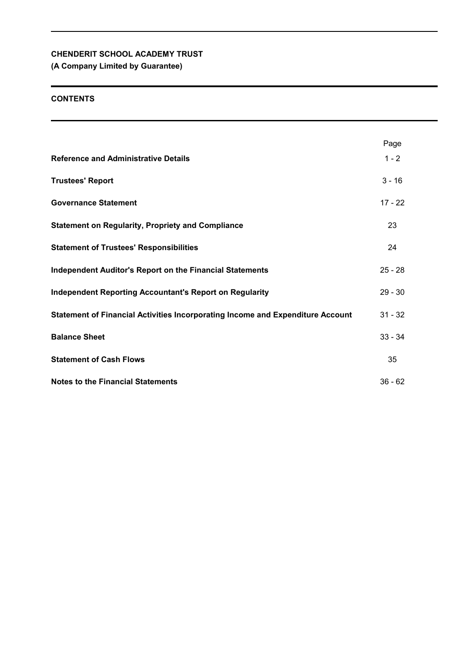# **(A Company Limited by Guarantee)**

# **CONTENTS**

|                                                                                | Page      |
|--------------------------------------------------------------------------------|-----------|
| <b>Reference and Administrative Details</b>                                    | $1 - 2$   |
| <b>Trustees' Report</b>                                                        | $3 - 16$  |
| <b>Governance Statement</b>                                                    | $17 - 22$ |
| <b>Statement on Regularity, Propriety and Compliance</b>                       | 23        |
| <b>Statement of Trustees' Responsibilities</b>                                 | 24        |
| <b>Independent Auditor's Report on the Financial Statements</b>                | $25 - 28$ |
| <b>Independent Reporting Accountant's Report on Regularity</b>                 | $29 - 30$ |
| Statement of Financial Activities Incorporating Income and Expenditure Account | $31 - 32$ |
| <b>Balance Sheet</b>                                                           | $33 - 34$ |
| <b>Statement of Cash Flows</b>                                                 | 35        |
| <b>Notes to the Financial Statements</b>                                       | $36 - 62$ |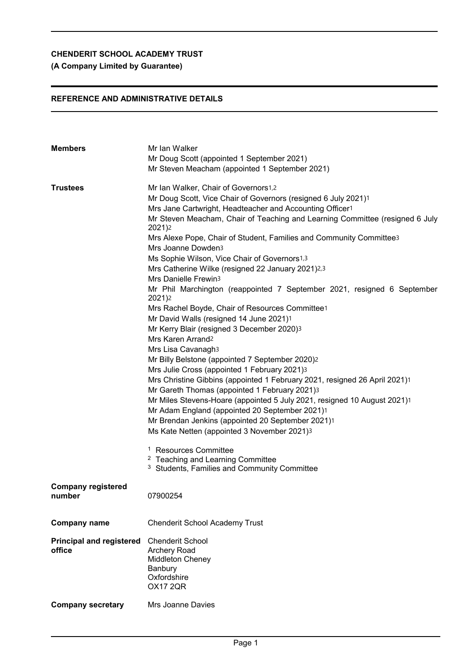# **(A Company Limited by Guarantee)**

# **REFERENCE AND ADMINISTRATIVE DETAILS**

| <b>Members</b>                            | Mr Ian Walker<br>Mr Doug Scott (appointed 1 September 2021)<br>Mr Steven Meacham (appointed 1 September 2021)                                                                                                                                                                                                                                                                                                                                                                                                                                                                                                                                                                                                                                                                                                                                                                                                                                                                                                                                                                                                                                                                                                                                      |
|-------------------------------------------|----------------------------------------------------------------------------------------------------------------------------------------------------------------------------------------------------------------------------------------------------------------------------------------------------------------------------------------------------------------------------------------------------------------------------------------------------------------------------------------------------------------------------------------------------------------------------------------------------------------------------------------------------------------------------------------------------------------------------------------------------------------------------------------------------------------------------------------------------------------------------------------------------------------------------------------------------------------------------------------------------------------------------------------------------------------------------------------------------------------------------------------------------------------------------------------------------------------------------------------------------|
| <b>Trustees</b>                           | Mr Ian Walker, Chair of Governors1,2<br>Mr Doug Scott, Vice Chair of Governors (resigned 6 July 2021)1<br>Mrs Jane Cartwright, Headteacher and Accounting Officer1<br>Mr Steven Meacham, Chair of Teaching and Learning Committee (resigned 6 July<br>2021)2<br>Mrs Alexe Pope, Chair of Student, Families and Community Committee3<br>Mrs Joanne Dowden3<br>Ms Sophie Wilson, Vice Chair of Governors1,3<br>Mrs Catherine Wilke (resigned 22 January 2021)2,3<br>Mrs Danielle Frewin3<br>Mr Phil Marchington (reappointed 7 September 2021, resigned 6 September<br>2021)2<br>Mrs Rachel Boyde, Chair of Resources Committee1<br>Mr David Walls (resigned 14 June 2021)1<br>Mr Kerry Blair (resigned 3 December 2020)3<br>Mrs Karen Arrand <sub>2</sub><br>Mrs Lisa Cavanagh3<br>Mr Billy Belstone (appointed 7 September 2020)2<br>Mrs Julie Cross (appointed 1 February 2021)3<br>Mrs Christine Gibbins (appointed 1 February 2021, resigned 26 April 2021)1<br>Mr Gareth Thomas (appointed 1 February 2021)3<br>Mr Miles Stevens-Hoare (appointed 5 July 2021, resigned 10 August 2021)1<br>Mr Adam England (appointed 20 September 2021)1<br>Mr Brendan Jenkins (appointed 20 September 2021)1<br>Ms Kate Netten (appointed 3 November 2021)3 |
|                                           | <sup>1</sup> Resources Committee<br><sup>2</sup> Teaching and Learning Committee<br><sup>3</sup> Students, Families and Community Committee                                                                                                                                                                                                                                                                                                                                                                                                                                                                                                                                                                                                                                                                                                                                                                                                                                                                                                                                                                                                                                                                                                        |
| <b>Company registered</b><br>number       | 07900254                                                                                                                                                                                                                                                                                                                                                                                                                                                                                                                                                                                                                                                                                                                                                                                                                                                                                                                                                                                                                                                                                                                                                                                                                                           |
| <b>Company name</b>                       | <b>Chenderit School Academy Trust</b>                                                                                                                                                                                                                                                                                                                                                                                                                                                                                                                                                                                                                                                                                                                                                                                                                                                                                                                                                                                                                                                                                                                                                                                                              |
| <b>Principal and registered</b><br>office | <b>Chenderit School</b><br>Archery Road<br><b>Middleton Cheney</b><br>Banbury<br>Oxfordshire<br><b>OX17 2QR</b>                                                                                                                                                                                                                                                                                                                                                                                                                                                                                                                                                                                                                                                                                                                                                                                                                                                                                                                                                                                                                                                                                                                                    |
| <b>Company secretary</b>                  | Mrs Joanne Davies                                                                                                                                                                                                                                                                                                                                                                                                                                                                                                                                                                                                                                                                                                                                                                                                                                                                                                                                                                                                                                                                                                                                                                                                                                  |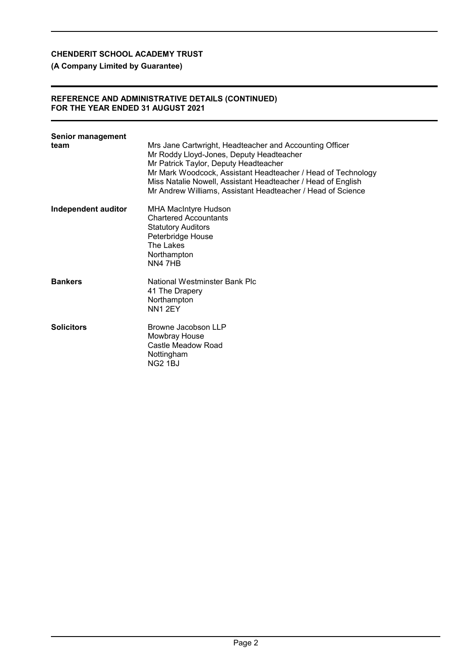# **(A Company Limited by Guarantee)**

### **REFERENCE AND ADMINISTRATIVE DETAILS (CONTINUED) FOR THE YEAR ENDED 31 AUGUST 2021**

| <b>Senior management</b><br>team | Mrs Jane Cartwright, Headteacher and Accounting Officer<br>Mr Roddy Lloyd-Jones, Deputy Headteacher<br>Mr Patrick Taylor, Deputy Headteacher<br>Mr Mark Woodcock, Assistant Headteacher / Head of Technology<br>Miss Natalie Nowell, Assistant Headteacher / Head of English<br>Mr Andrew Williams, Assistant Headteacher / Head of Science |
|----------------------------------|---------------------------------------------------------------------------------------------------------------------------------------------------------------------------------------------------------------------------------------------------------------------------------------------------------------------------------------------|
| Independent auditor              | MHA MacIntyre Hudson<br><b>Chartered Accountants</b><br><b>Statutory Auditors</b><br>Peterbridge House<br>The Lakes<br>Northampton<br>NN4 7HB                                                                                                                                                                                               |
| <b>Bankers</b>                   | National Westminster Bank Plc<br>41 The Drapery<br>Northampton<br>NN <sub>1</sub> 2EY                                                                                                                                                                                                                                                       |
| <b>Solicitors</b>                | Browne Jacobson LLP<br>Mowbray House<br>Castle Meadow Road<br>Nottingham<br><b>NG2 1BJ</b>                                                                                                                                                                                                                                                  |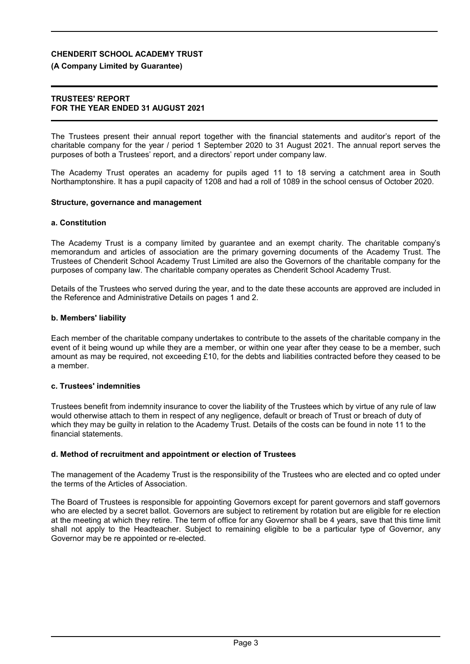### **(A Company Limited by Guarantee)**

#### **TRUSTEES' REPORT FOR THE YEAR ENDED 31 AUGUST 2021**

The Trustees present their annual report together with the financial statements and auditor's report of the charitable company for the year / period 1 September 2020 to 31 August 2021. The annual report serves the purposes of both a Trustees' report, and a directors' report under company law.

The Academy Trust operates an academy for pupils aged 11 to 18 serving a catchment area in South Northamptonshire. It has a pupil capacity of 1208 and had a roll of 1089 in the school census of October 2020.

#### **Structure, governance and management**

### **a. Constitution**

The Academy Trust is a company limited by guarantee and an exempt charity. The charitable company's memorandum and articles of association are the primary governing documents of the Academy Trust. The Trustees of Chenderit School Academy Trust Limited are also the Governors of the charitable company for the purposes of company law. The charitable company operates as Chenderit School Academy Trust.

Details of the Trustees who served during the year, and to the date these accounts are approved are included in the Reference and Administrative Details on pages 1 and 2.

#### **b. Members' liability**

Each member of the charitable company undertakes to contribute to the assets of the charitable company in the event of it being wound up while they are a member, or within one year after they cease to be a member, such amount as may be required, not exceeding £10, for the debts and liabilities contracted before they ceased to be a member.

## **c. Trustees' indemnities**

Trustees benefit from indemnity insurance to cover the liability of the Trustees which by virtue of any rule of law would otherwise attach to them in respect of any negligence, default or breach of Trust or breach of duty of which they may be guilty in relation to the Academy Trust. Details of the costs can be found in note 11 to the financial statements.

### **d. Method of recruitment and appointment or election of Trustees**

The management of the Academy Trust is the responsibility of the Trustees who are elected and co opted under the terms of the Articles of Association.

The Board of Trustees is responsible for appointing Governors except for parent governors and staff governors who are elected by a secret ballot. Governors are subject to retirement by rotation but are eligible for re election at the meeting at which they retire. The term of office for any Governor shall be 4 years, save that this time limit shall not apply to the Headteacher. Subject to remaining eligible to be a particular type of Governor, any Governor may be re appointed or re-elected.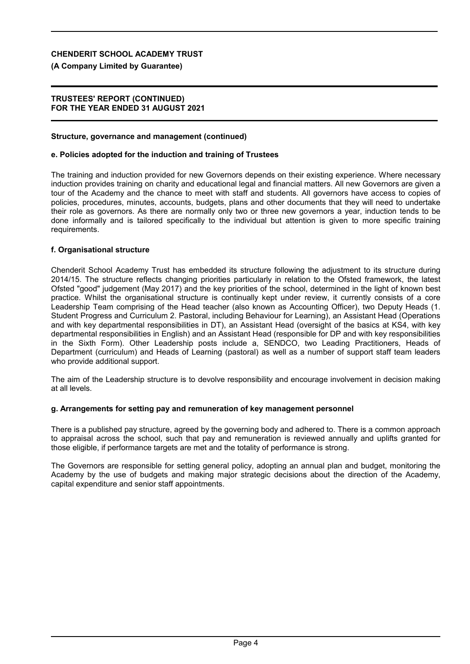### **(A Company Limited by Guarantee)**

### **TRUSTEES' REPORT (CONTINUED) FOR THE YEAR ENDED 31 AUGUST 2021**

#### **Structure, governance and management (continued)**

#### **e. Policies adopted for the induction and training of Trustees**

The training and induction provided for new Governors depends on their existing experience. Where necessary induction provides training on charity and educational legal and financial matters. All new Governors are given a tour of the Academy and the chance to meet with staff and students. All governors have access to copies of policies, procedures, minutes, accounts, budgets, plans and other documents that they will need to undertake their role as governors. As there are normally only two or three new governors a year, induction tends to be done informally and is tailored specifically to the individual but attention is given to more specific training requirements.

#### **f. Organisational structure**

Chenderit School Academy Trust has embedded its structure following the adjustment to its structure during 2014/15. The structure reflects changing priorities particularly in relation to the Ofsted framework, the latest Ofsted "good" judgement (May 2017) and the key priorities of the school, determined in the light of known best practice. Whilst the organisational structure is continually kept under review, it currently consists of a core Leadership Team comprising of the Head teacher (also known as Accounting Officer), two Deputy Heads (1. Student Progress and Curriculum 2. Pastoral, including Behaviour for Learning), an Assistant Head (Operations and with key departmental responsibilities in DT), an Assistant Head (oversight of the basics at KS4, with key departmental responsibilities in English) and an Assistant Head (responsible for DP and with key responsibilities in the Sixth Form). Other Leadership posts include a, SENDCO, two Leading Practitioners, Heads of Department (curriculum) and Heads of Learning (pastoral) as well as a number of support staff team leaders who provide additional support.

The aim of the Leadership structure is to devolve responsibility and encourage involvement in decision making at all levels.

### **g. Arrangements for setting pay and remuneration of key management personnel**

There is a published pay structure, agreed by the governing body and adhered to. There is a common approach to appraisal across the school, such that pay and remuneration is reviewed annually and uplifts granted for those eligible, if performance targets are met and the totality of performance is strong.

The Governors are responsible for setting general policy, adopting an annual plan and budget, monitoring the Academy by the use of budgets and making major strategic decisions about the direction of the Academy, capital expenditure and senior staff appointments.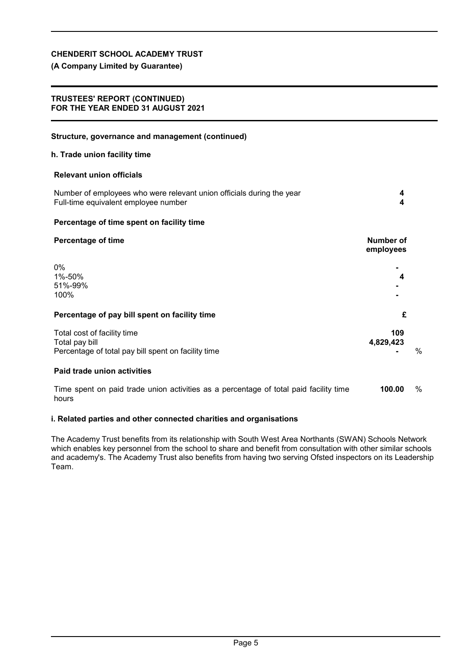# **(A Company Limited by Guarantee)**

### **TRUSTEES' REPORT (CONTINUED) FOR THE YEAR ENDED 31 AUGUST 2021**

| Structure, governance and management (continued)                                                              |                        |      |
|---------------------------------------------------------------------------------------------------------------|------------------------|------|
| h. Trade union facility time                                                                                  |                        |      |
| <b>Relevant union officials</b>                                                                               |                        |      |
| Number of employees who were relevant union officials during the year<br>Full-time equivalent employee number | 4<br>4                 |      |
| Percentage of time spent on facility time                                                                     |                        |      |
| <b>Percentage of time</b>                                                                                     | Number of<br>employees |      |
| $0\%$<br>1%-50%<br>51%-99%<br>100%                                                                            | 4                      |      |
| Percentage of pay bill spent on facility time                                                                 | £                      |      |
| Total cost of facility time<br>Total pay bill<br>Percentage of total pay bill spent on facility time          | 109<br>4,829,423       | $\%$ |
| Paid trade union activities                                                                                   |                        |      |
| Time spent on paid trade union activities as a percentage of total paid facility time<br>hours                | 100.00                 | %    |

### **i. Related parties and other connected charities and organisations**

The Academy Trust benefits from its relationship with South West Area Northants (SWAN) Schools Network which enables key personnel from the school to share and benefit from consultation with other similar schools and academy's. The Academy Trust also benefits from having two serving Ofsted inspectors on its Leadership Team.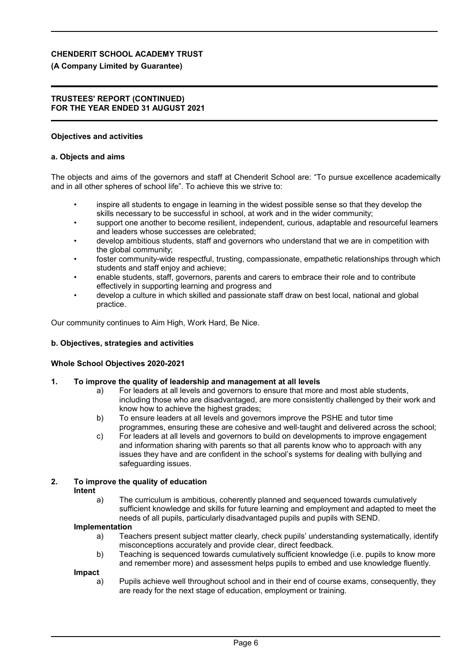# **(A Company Limited by Guarantee)**

## **TRUSTEES' REPORT (CONTINUED) FOR THE YEAR ENDED 31 AUGUST 2021**

# **Objectives and activities**

# **a. Objects and aims**

The objects and aims of the governors and staff at Chenderit School are: "To pursue excellence academically and in all other spheres of school life". To achieve this we strive to:

- inspire all students to engage in learning in the widest possible sense so that they develop the skills necessary to be successful in school, at work and in the wider community;
- support one another to become resilient, independent, curious, adaptable and resourceful learners and leaders whose successes are celebrated;
- develop ambitious students, staff and governors who understand that we are in competition with the global community;
- foster community-wide respectful, trusting, compassionate, empathetic relationships through which students and staff enjoy and achieve;
- enable students, staff, governors, parents and carers to embrace their role and to contribute effectively in supporting learning and progress and
- develop a culture in which skilled and passionate staff draw on best local, national and global practice.

Our community continues to Aim High, Work Hard, Be Nice.

# **b. Objectives, strategies and activities**

# **Whole School Objectives 2020-2021**

# **1. To improve the quality of leadership and management at all levels**

- a) For leaders at all levels and governors to ensure that more and most able students, including those who are disadvantaged, are more consistently challenged by their work and know how to achieve the highest grades;
- b) To ensure leaders at all levels and governors improve the PSHE and tutor time programmes, ensuring these are cohesive and well-taught and delivered across the school;
- c) For leaders at all levels and governors to build on developments to improve engagement and information sharing with parents so that all parents know who to approach with any issues they have and are confident in the school's systems for dealing with bullying and safeguarding issues.

#### **2. To improve the quality of education Intent**

a) The curriculum is ambitious, coherently planned and sequenced towards cumulatively sufficient knowledge and skills for future learning and employment and adapted to meet the needs of all pupils, particularly disadvantaged pupils and pupils with SEND.

# **Implementation**

- a) Teachers present subject matter clearly, check pupils' understanding systematically, identify misconceptions accurately and provide clear, direct feedback.
- b) Teaching is sequenced towards cumulatively sufficient knowledge (i.e. pupils to know more and remember more) and assessment helps pupils to embed and use knowledge fluently.

**Impact**

a) Pupils achieve well throughout school and in their end of course exams, consequently, they are ready for the next stage of education, employment or training.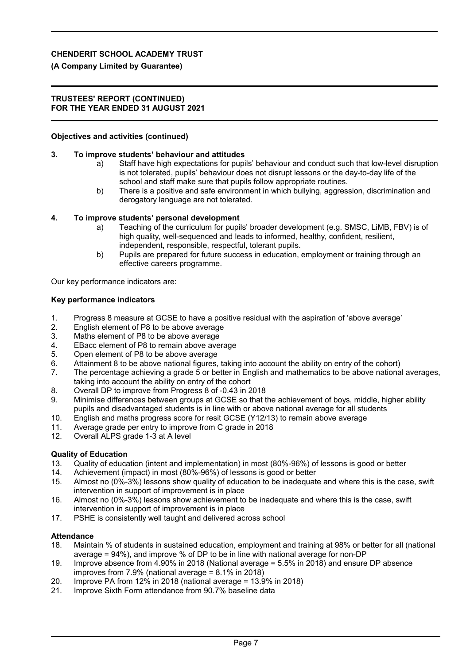# **(A Company Limited by Guarantee)**

### **TRUSTEES' REPORT (CONTINUED) FOR THE YEAR ENDED 31 AUGUST 2021**

### **Objectives and activities (continued)**

### **3. To improve students' behaviour and attitudes**

- a) Staff have high expectations for pupils' behaviour and conduct such that low-level disruption is not tolerated, pupils' behaviour does not disrupt lessons or the day-to-day life of the school and staff make sure that pupils follow appropriate routines.
- b) There is a positive and safe environment in which bullying, aggression, discrimination and derogatory language are not tolerated.

### **4. To improve students' personal development**

- a) Teaching of the curriculum for pupils' broader development (e.g. SMSC, LiMB, FBV) is of high quality, well-sequenced and leads to informed, healthy, confident, resilient, independent, responsible, respectful, tolerant pupils.
- b) Pupils are prepared for future success in education, employment or training through an effective careers programme.

Our key performance indicators are:

### **Key performance indicators**

- 1. Progress 8 measure at GCSE to have a positive residual with the aspiration of 'above average'
- 2. English element of P8 to be above average
- 3. Maths element of P8 to be above average
- 4. EBacc element of P8 to remain above average
- 5. Open element of P8 to be above average
- 6. Attainment 8 to be above national figures, taking into account the ability on entry of the cohort)
- 7. The percentage achieving a grade 5 or better in English and mathematics to be above national averages, taking into account the ability on entry of the cohort
- 8. Overall DP to improve from Progress 8 of -0.43 in 2018
- 9. Minimise differences between groups at GCSE so that the achievement of boys, middle, higher ability pupils and disadvantaged students is in line with or above national average for all students
- 10. English and maths progress score for resit GCSE (Y12/13) to remain above average
- 11. Average grade per entry to improve from C grade in 2018
- 12. Overall ALPS grade 1-3 at A level

# **Quality of Education**

- 13. Quality of education (intent and implementation) in most (80%-96%) of lessons is good or better
- 14. Achievement (impact) in most (80%-96%) of lessons is good or better
- 15. Almost no (0%-3%) lessons show quality of education to be inadequate and where this is the case, swift intervention in support of improvement is in place
- 16. Almost no (0%-3%) lessons show achievement to be inadequate and where this is the case, swift intervention in support of improvement is in place
- 17. PSHE is consistently well taught and delivered across school

### **Attendance**

- 18. Maintain % of students in sustained education, employment and training at 98% or better for all (national average = 94%), and improve % of DP to be in line with national average for non-DP
- 19. Improve absence from 4.90% in 2018 (National average = 5.5% in 2018) and ensure DP absence improves from 7.9% (national average = 8.1% in 2018)
- 20. Improve PA from 12% in 2018 (national average = 13.9% in 2018)
- 21. Improve Sixth Form attendance from 90.7% baseline data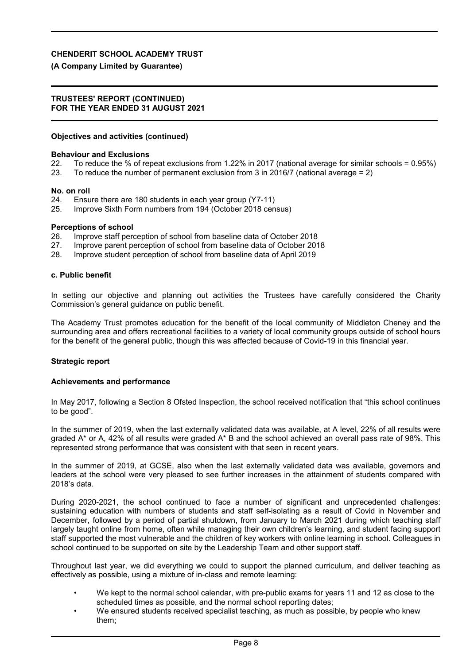### **(A Company Limited by Guarantee)**

#### **TRUSTEES' REPORT (CONTINUED) FOR THE YEAR ENDED 31 AUGUST 2021**

#### **Objectives and activities (continued)**

#### **Behaviour and Exclusions**

- 22. To reduce the % of repeat exclusions from 1.22% in 2017 (national average for similar schools = 0.95%)
- 23. To reduce the number of permanent exclusion from 3 in 2016/7 (national average = 2)

#### **No. on roll**

- 24. Ensure there are 180 students in each year group (Y7-11)
- 25. Improve Sixth Form numbers from 194 (October 2018 census)

#### **Perceptions of school**

- 26. Improve staff perception of school from baseline data of October 2018
- 27. Improve parent perception of school from baseline data of October 2018
- 28. Improve student perception of school from baseline data of April 2019

#### **c. Public benefit**

In setting our objective and planning out activities the Trustees have carefully considered the Charity Commission's general guidance on public benefit.

The Academy Trust promotes education for the benefit of the local community of Middleton Cheney and the surrounding area and offers recreational facilities to a variety of local community groups outside of school hours for the benefit of the general public, though this was affected because of Covid-19 in this financial year.

#### **Strategic report**

#### **Achievements and performance**

In May 2017, following a Section 8 Ofsted Inspection, the school received notification that "this school continues to be good".

In the summer of 2019, when the last externally validated data was available, at A level, 22% of all results were graded A\* or A, 42% of all results were graded A\* B and the school achieved an overall pass rate of 98%. This represented strong performance that was consistent with that seen in recent years.

In the summer of 2019, at GCSE, also when the last externally validated data was available, governors and leaders at the school were very pleased to see further increases in the attainment of students compared with 2018's data.

During 2020-2021, the school continued to face a number of significant and unprecedented challenges: sustaining education with numbers of students and staff self-isolating as a result of Covid in November and December, followed by a period of partial shutdown, from January to March 2021 during which teaching staff largely taught online from home, often while managing their own children's learning, and student facing support staff supported the most vulnerable and the children of key workers with online learning in school. Colleagues in school continued to be supported on site by the Leadership Team and other support staff.

Throughout last year, we did everything we could to support the planned curriculum, and deliver teaching as effectively as possible, using a mixture of in-class and remote learning:

- We kept to the normal school calendar, with pre-public exams for years 11 and 12 as close to the scheduled times as possible, and the normal school reporting dates:
- We ensured students received specialist teaching, as much as possible, by people who knew them;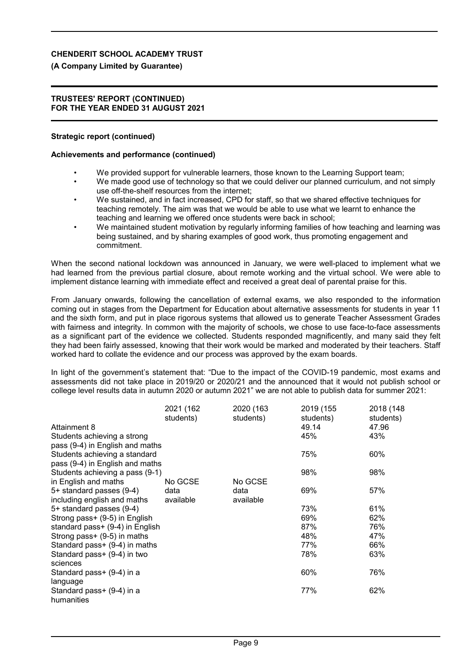### **(A Company Limited by Guarantee)**

#### **TRUSTEES' REPORT (CONTINUED) FOR THE YEAR ENDED 31 AUGUST 2021**

#### **Strategic report (continued)**

#### **Achievements and performance (continued)**

- We provided support for vulnerable learners, those known to the Learning Support team;
- We made good use of technology so that we could deliver our planned curriculum, and not simply use off-the-shelf resources from the internet;
- We sustained, and in fact increased, CPD for staff, so that we shared effective techniques for teaching remotely. The aim was that we would be able to use what we learnt to enhance the teaching and learning we offered once students were back in school;
- We maintained student motivation by regularly informing families of how teaching and learning was being sustained, and by sharing examples of good work, thus promoting engagement and commitment.

When the second national lockdown was announced in January, we were well-placed to implement what we had learned from the previous partial closure, about remote working and the virtual school. We were able to implement distance learning with immediate effect and received a great deal of parental praise for this.

From January onwards, following the cancellation of external exams, we also responded to the information coming out in stages from the Department for Education about alternative assessments for students in year 11 and the sixth form, and put in place rigorous systems that allowed us to generate Teacher Assessment Grades with fairness and integrity. In common with the majority of schools, we chose to use face-to-face assessments as a significant part of the evidence we collected. Students responded magnificently, and many said they felt they had been fairly assessed, knowing that their work would be marked and moderated by their teachers. Staff worked hard to collate the evidence and our process was approved by the exam boards.

In light of the government's statement that: "Due to the impact of the COVID-19 pandemic, most exams and assessments did not take place in 2019/20 or 2020/21 and the announced that it would not publish school or college level results data in autumn 2020 or autumn 2021" we are not able to publish data for summer 2021:

| Attainment 8<br>Students achieving a strong                                                         | 2021 (162<br>students)       | 2020 (163<br>students)       | 2019 (155<br>students)<br>49.14<br>45% | 2018 (148<br>students)<br>47.96<br>43% |
|-----------------------------------------------------------------------------------------------------|------------------------------|------------------------------|----------------------------------------|----------------------------------------|
| pass (9-4) in English and maths<br>Students achieving a standard<br>pass (9-4) in English and maths |                              |                              | 75%                                    | 60%                                    |
| Students achieving a pass (9-1)                                                                     |                              |                              | 98%                                    | 98%                                    |
| in English and maths<br>5+ standard passes (9-4)<br>including english and maths                     | No GCSE<br>data<br>available | No GCSE<br>data<br>available | 69%                                    | 57%                                    |
| 5+ standard passes (9-4)                                                                            |                              |                              | 73%                                    | 61%                                    |
| Strong pass+ (9-5) in English                                                                       |                              |                              | 69%                                    | 62%                                    |
| standard pass+ (9-4) in English                                                                     |                              |                              | 87%                                    | 76%                                    |
| Strong pass+ (9-5) in maths                                                                         |                              |                              | 48%                                    | 47%                                    |
| Standard pass+ (9-4) in maths                                                                       |                              |                              | 77%                                    | 66%                                    |
| Standard pass+ (9-4) in two<br>sciences                                                             |                              |                              | 78%                                    | 63%                                    |
| Standard pass+ (9-4) in a<br>language                                                               |                              |                              | 60%                                    | 76%                                    |
| Standard pass+ (9-4) in a<br>humanities                                                             |                              |                              | 77%                                    | 62%                                    |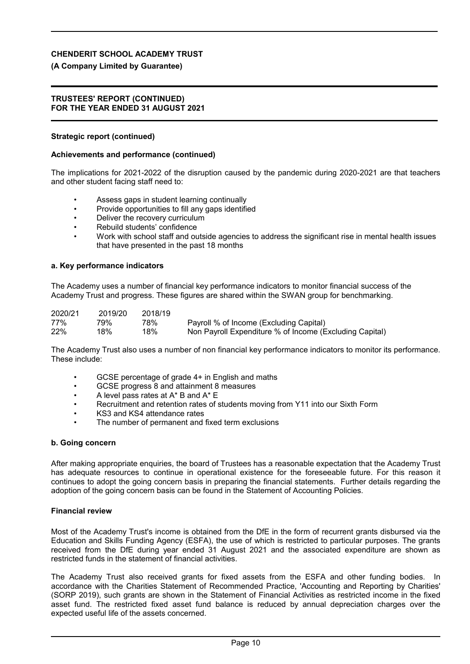## **(A Company Limited by Guarantee)**

#### **TRUSTEES' REPORT (CONTINUED) FOR THE YEAR ENDED 31 AUGUST 2021**

### **Strategic report (continued)**

#### **Achievements and performance (continued)**

The implications for 2021-2022 of the disruption caused by the pandemic during 2020-2021 are that teachers and other student facing staff need to:

- Assess gaps in student learning continually
- Provide opportunities to fill any gaps identified
- Deliver the recovery curriculum
- Rebuild students' confidence
- Work with school staff and outside agencies to address the significant rise in mental health issues that have presented in the past 18 months

#### **a. Key performance indicators**

The Academy uses a number of financial key performance indicators to monitor financial success of the Academy Trust and progress. These figures are shared within the SWAN group for benchmarking.

| 2020/21 | 2019/20 | 2018/19 |                                                         |
|---------|---------|---------|---------------------------------------------------------|
| 77%     | 79%.    | 78%     | Payroll % of Income (Excluding Capital)                 |
| 22%     | 18%     | 18%     | Non Payroll Expenditure % of Income (Excluding Capital) |

The Academy Trust also uses a number of non financial key performance indicators to monitor its performance. These include:

- GCSE percentage of grade 4+ in English and maths
- GCSE progress 8 and attainment 8 measures
- A level pass rates at A\* B and A\* E
- Recruitment and retention rates of students moving from Y11 into our Sixth Form
- KS3 and KS4 attendance rates
- The number of permanent and fixed term exclusions

#### **b. Going concern**

After making appropriate enquiries, the board of Trustees has a reasonable expectation that the Academy Trust has adequate resources to continue in operational existence for the foreseeable future. For this reason it continues to adopt the going concern basis in preparing the financial statements. Further details regarding the adoption of the going concern basis can be found in the Statement of Accounting Policies.

### **Financial review**

Most of the Academy Trust's income is obtained from the DfE in the form of recurrent grants disbursed via the Education and Skills Funding Agency (ESFA), the use of which is restricted to particular purposes. The grants received from the DfE during year ended 31 August 2021 and the associated expenditure are shown as restricted funds in the statement of financial activities.

The Academy Trust also received grants for fixed assets from the ESFA and other funding bodies. In accordance with the Charities Statement of Recommended Practice, 'Accounting and Reporting by Charities' (SORP 2019), such grants are shown in the Statement of Financial Activities as restricted income in the fixed asset fund. The restricted fixed asset fund balance is reduced by annual depreciation charges over the expected useful life of the assets concerned.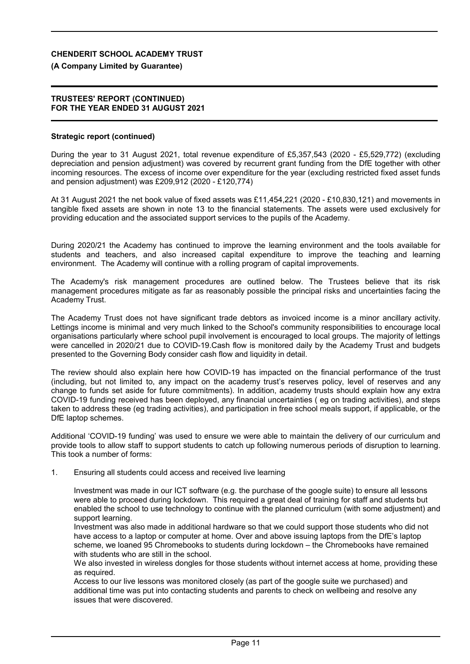### **(A Company Limited by Guarantee)**

#### **TRUSTEES' REPORT (CONTINUED) FOR THE YEAR ENDED 31 AUGUST 2021**

#### **Strategic report (continued)**

During the year to 31 August 2021, total revenue expenditure of £5,357,543 (2020 - £5,529,772) (excluding depreciation and pension adjustment) was covered by recurrent grant funding from the DfE together with other incoming resources. The excess of income over expenditure for the year (excluding restricted fixed asset funds and pension adjustment) was £209,912 (2020 - £120,774)

At 31 August 2021 the net book value of fixed assets was £11,454,221 (2020 - £10,830,121) and movements in tangible fixed assets are shown in note 13 to the financial statements. The assets were used exclusively for providing education and the associated support services to the pupils of the Academy.

During 2020/21 the Academy has continued to improve the learning environment and the tools available for students and teachers, and also increased capital expenditure to improve the teaching and learning environment. The Academy will continue with a rolling program of capital improvements.

The Academy's risk management procedures are outlined below. The Trustees believe that its risk management procedures mitigate as far as reasonably possible the principal risks and uncertainties facing the Academy Trust.

The Academy Trust does not have significant trade debtors as invoiced income is a minor ancillary activity. Lettings income is minimal and very much linked to the School's community responsibilities to encourage local organisations particularly where school pupil involvement is encouraged to local groups. The majority of lettings were cancelled in 2020/21 due to COVID-19.Cash flow is monitored daily by the Academy Trust and budgets presented to the Governing Body consider cash flow and liquidity in detail.

The review should also explain here how COVID-19 has impacted on the financial performance of the trust (including, but not limited to, any impact on the academy trust's reserves policy, level of reserves and any change to funds set aside for future commitments). In addition, academy trusts should explain how any extra COVID-19 funding received has been deployed, any financial uncertainties ( eg on trading activities), and steps taken to address these (eg trading activities), and participation in free school meals support, if applicable, or the DfE laptop schemes.

Additional 'COVID-19 funding' was used to ensure we were able to maintain the delivery of our curriculum and provide tools to allow staff to support students to catch up following numerous periods of disruption to learning. This took a number of forms:

#### 1. Ensuring all students could access and received live learning

Investment was made in our ICT software (e.g. the purchase of the google suite) to ensure all lessons were able to proceed during lockdown. This required a great deal of training for staff and students but enabled the school to use technology to continue with the planned curriculum (with some adjustment) and support learning.

Investment was also made in additional hardware so that we could support those students who did not have access to a laptop or computer at home. Over and above issuing laptops from the DfE's laptop scheme, we loaned 95 Chromebooks to students during lockdown – the Chromebooks have remained with students who are still in the school.

We also invested in wireless dongles for those students without internet access at home, providing these as required.

Access to our live lessons was monitored closely (as part of the google suite we purchased) and additional time was put into contacting students and parents to check on wellbeing and resolve any issues that were discovered.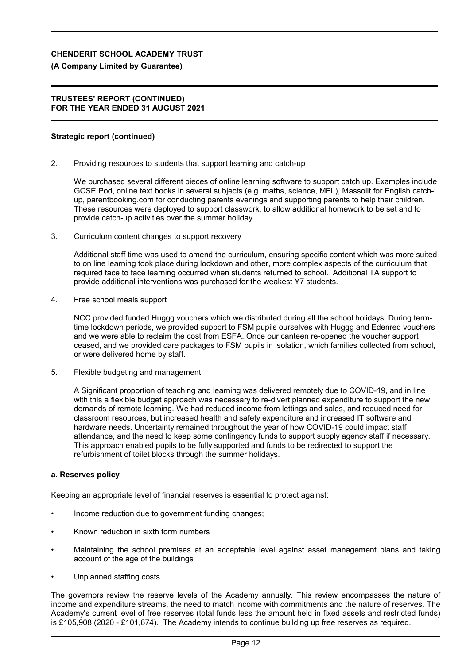### **(A Company Limited by Guarantee)**

#### **TRUSTEES' REPORT (CONTINUED) FOR THE YEAR ENDED 31 AUGUST 2021**

#### **Strategic report (continued)**

2. Providing resources to students that support learning and catch-up

We purchased several different pieces of online learning software to support catch up. Examples include GCSE Pod, online text books in several subjects (e.g. maths, science, MFL), Massolit for English catchup, parentbooking.com for conducting parents evenings and supporting parents to help their children. These resources were deployed to support classwork, to allow additional homework to be set and to provide catch-up activities over the summer holiday.

3. Curriculum content changes to support recovery

Additional staff time was used to amend the curriculum, ensuring specific content which was more suited to on line learning took place during lockdown and other, more complex aspects of the curriculum that required face to face learning occurred when students returned to school. Additional TA support to provide additional interventions was purchased for the weakest Y7 students.

4. Free school meals support

NCC provided funded Huggg vouchers which we distributed during all the school holidays. During termtime lockdown periods, we provided support to FSM pupils ourselves with Huggg and Edenred vouchers and we were able to reclaim the cost from ESFA. Once our canteen re-opened the voucher support ceased, and we provided care packages to FSM pupils in isolation, which families collected from school, or were delivered home by staff.

5. Flexible budgeting and management

A Significant proportion of teaching and learning was delivered remotely due to COVID-19, and in line with this a flexible budget approach was necessary to re-divert planned expenditure to support the new demands of remote learning. We had reduced income from lettings and sales, and reduced need for classroom resources, but increased health and safety expenditure and increased IT software and hardware needs. Uncertainty remained throughout the year of how COVID-19 could impact staff attendance, and the need to keep some contingency funds to support supply agency staff if necessary. This approach enabled pupils to be fully supported and funds to be redirected to support the refurbishment of toilet blocks through the summer holidays.

### **a. Reserves policy**

Keeping an appropriate level of financial reserves is essential to protect against:

- Income reduction due to government funding changes;
- Known reduction in sixth form numbers
- Maintaining the school premises at an acceptable level against asset management plans and taking account of the age of the buildings
- Unplanned staffing costs

The governors review the reserve levels of the Academy annually. This review encompasses the nature of income and expenditure streams, the need to match income with commitments and the nature of reserves. The Academy's current level of free reserves (total funds less the amount held in fixed assets and restricted funds) is £105,908 (2020 - £101,674). The Academy intends to continue building up free reserves as required.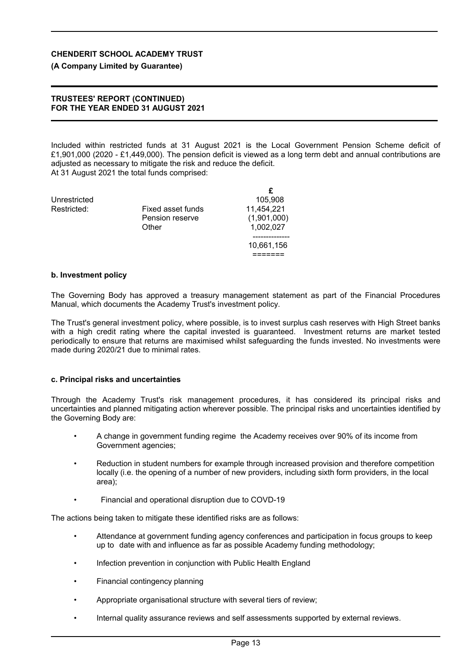# **(A Company Limited by Guarantee)**

### **TRUSTEES' REPORT (CONTINUED) FOR THE YEAR ENDED 31 AUGUST 2021**

Included within restricted funds at 31 August 2021 is the Local Government Pension Scheme deficit of £1,901,000 (2020 - £1,449,000). The pension deficit is viewed as a long term debt and annual contributions are adjusted as necessary to mitigate the risk and reduce the deficit. At 31 August 2021 the total funds comprised:

| Unrestricted |                   | 105,908     |
|--------------|-------------------|-------------|
| Restricted:  | Fixed asset funds | 11,454,221  |
|              | Pension reserve   | (1,901,000) |
|              | Other             | 1,002,027   |
|              |                   |             |
|              |                   | 10,661,156  |
|              |                   |             |

# **b. Investment policy**

The Governing Body has approved a treasury management statement as part of the Financial Procedures Manual, which documents the Academy Trust's investment policy.

The Trust's general investment policy, where possible, is to invest surplus cash reserves with High Street banks with a high credit rating where the capital invested is guaranteed. Investment returns are market tested periodically to ensure that returns are maximised whilst safeguarding the funds invested. No investments were made during 2020/21 due to minimal rates.

# **c. Principal risks and uncertainties**

Through the Academy Trust's risk management procedures, it has considered its principal risks and uncertainties and planned mitigating action wherever possible. The principal risks and uncertainties identified by the Governing Body are:

- A change in government funding regime the Academy receives over 90% of its income from Government agencies;
- Reduction in student numbers for example through increased provision and therefore competition locally (i.e. the opening of a number of new providers, including sixth form providers, in the local area);
- Financial and operational disruption due to COVD-19

The actions being taken to mitigate these identified risks are as follows:

- Attendance at government funding agency conferences and participation in focus groups to keep up to date with and influence as far as possible Academy funding methodology;
- Infection prevention in conjunction with Public Health England
- Financial contingency planning
- Appropriate organisational structure with several tiers of review;
- Internal quality assurance reviews and self assessments supported by external reviews.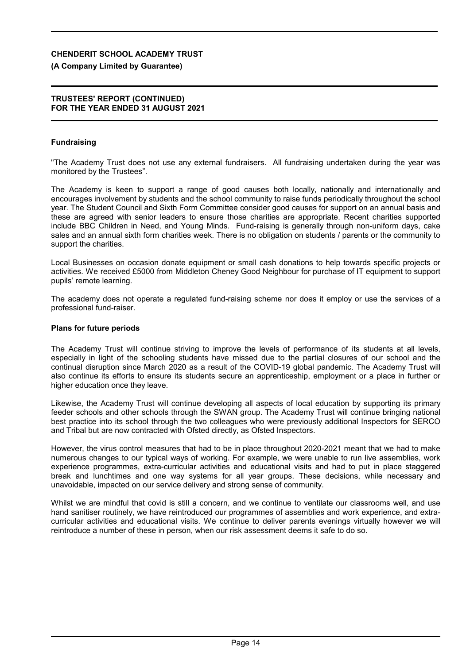### **(A Company Limited by Guarantee)**

#### **TRUSTEES' REPORT (CONTINUED) FOR THE YEAR ENDED 31 AUGUST 2021**

### **Fundraising**

"The Academy Trust does not use any external fundraisers. All fundraising undertaken during the year was monitored by the Trustees".

The Academy is keen to support a range of good causes both locally, nationally and internationally and encourages involvement by students and the school community to raise funds periodically throughout the school year. The Student Council and Sixth Form Committee consider good causes for support on an annual basis and these are agreed with senior leaders to ensure those charities are appropriate. Recent charities supported include BBC Children in Need, and Young Minds. Fund-raising is generally through non-uniform days, cake sales and an annual sixth form charities week. There is no obligation on students / parents or the community to support the charities.

Local Businesses on occasion donate equipment or small cash donations to help towards specific projects or activities. We received £5000 from Middleton Cheney Good Neighbour for purchase of IT equipment to support pupils' remote learning.

The academy does not operate a regulated fund-raising scheme nor does it employ or use the services of a professional fund-raiser.

#### **Plans for future periods**

The Academy Trust will continue striving to improve the levels of performance of its students at all levels, especially in light of the schooling students have missed due to the partial closures of our school and the continual disruption since March 2020 as a result of the COVID-19 global pandemic. The Academy Trust will also continue its efforts to ensure its students secure an apprenticeship, employment or a place in further or higher education once they leave.

Likewise, the Academy Trust will continue developing all aspects of local education by supporting its primary feeder schools and other schools through the SWAN group. The Academy Trust will continue bringing national best practice into its school through the two colleagues who were previously additional Inspectors for SERCO and Tribal but are now contracted with Ofsted directly, as Ofsted Inspectors.

However, the virus control measures that had to be in place throughout 2020-2021 meant that we had to make numerous changes to our typical ways of working. For example, we were unable to run live assemblies, work experience programmes, extra-curricular activities and educational visits and had to put in place staggered break and lunchtimes and one way systems for all year groups. These decisions, while necessary and unavoidable, impacted on our service delivery and strong sense of community.

Whilst we are mindful that covid is still a concern, and we continue to ventilate our classrooms well, and use hand sanitiser routinely, we have reintroduced our programmes of assemblies and work experience, and extracurricular activities and educational visits. We continue to deliver parents evenings virtually however we will reintroduce a number of these in person, when our risk assessment deems it safe to do so.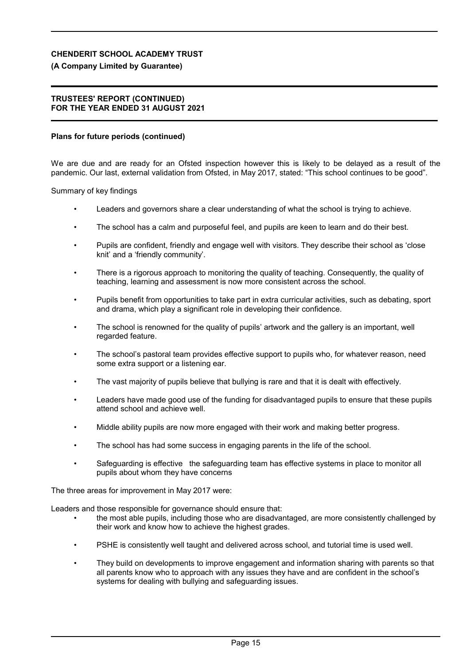# **(A Company Limited by Guarantee)**

## **TRUSTEES' REPORT (CONTINUED) FOR THE YEAR ENDED 31 AUGUST 2021**

# **Plans for future periods (continued)**

We are due and are ready for an Ofsted inspection however this is likely to be delayed as a result of the pandemic. Our last, external validation from Ofsted, in May 2017, stated: "This school continues to be good".

Summary of key findings

- Leaders and governors share a clear understanding of what the school is trying to achieve.
- The school has a calm and purposeful feel, and pupils are keen to learn and do their best.
- Pupils are confident, friendly and engage well with visitors. They describe their school as 'close knit' and a 'friendly community'.
- There is a rigorous approach to monitoring the quality of teaching. Consequently, the quality of teaching, learning and assessment is now more consistent across the school.
- Pupils benefit from opportunities to take part in extra curricular activities, such as debating, sport and drama, which play a significant role in developing their confidence.
- The school is renowned for the quality of pupils' artwork and the gallery is an important, well regarded feature.
- The school's pastoral team provides effective support to pupils who, for whatever reason, need some extra support or a listening ear.
- The vast majority of pupils believe that bullying is rare and that it is dealt with effectively.
- Leaders have made good use of the funding for disadvantaged pupils to ensure that these pupils attend school and achieve well.
- Middle ability pupils are now more engaged with their work and making better progress.
- The school has had some success in engaging parents in the life of the school.
- Safeguarding is effective the safeguarding team has effective systems in place to monitor all pupils about whom they have concerns

The three areas for improvement in May 2017 were:

Leaders and those responsible for governance should ensure that:

- the most able pupils, including those who are disadvantaged, are more consistently challenged by their work and know how to achieve the highest grades.
- PSHE is consistently well taught and delivered across school, and tutorial time is used well.
- They build on developments to improve engagement and information sharing with parents so that all parents know who to approach with any issues they have and are confident in the school's systems for dealing with bullying and safeguarding issues.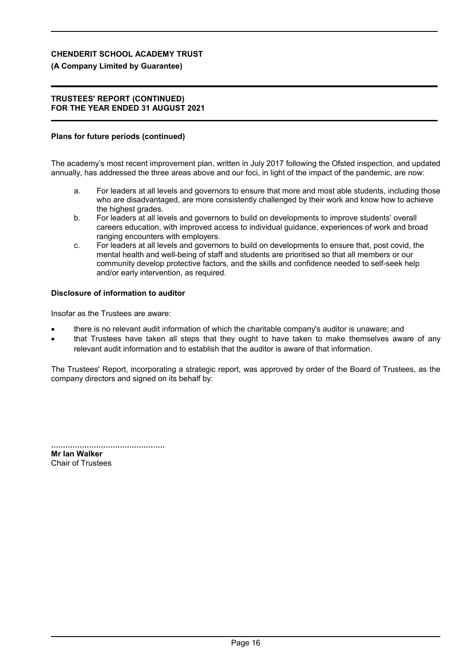# **(A Company Limited by Guarantee)**

## **TRUSTEES' REPORT (CONTINUED) FOR THE YEAR ENDED 31 AUGUST 2021**

# **Plans for future periods (continued)**

The academy's most recent improvement plan, written in July 2017 following the Ofsted inspection, and updated annually, has addressed the three areas above and our foci, in light of the impact of the pandemic, are now:

- a. For leaders at all levels and governors to ensure that more and most able students, including those who are disadvantaged, are more consistently challenged by their work and know how to achieve the highest grades.
- b. For leaders at all levels and governors to build on developments to improve students' overall careers education, with improved access to individual guidance, experiences of work and broad ranging encounters with employers.
- c. For leaders at all levels and governors to build on developments to ensure that, post covid, the mental health and well-being of staff and students are prioritised so that all members or our community develop protective factors, and the skills and confidence needed to self-seek help and/or early intervention, as required.

# **Disclosure of information to auditor**

Insofar as the Trustees are aware:

- there is no relevant audit information of which the charitable company's auditor is unaware; and
- that Trustees have taken all steps that they ought to have taken to make themselves aware of any relevant audit information and to establish that the auditor is aware of that information.

The Trustees' Report, incorporating a strategic report, was approved by order of the Board of Trustees, as the company directors and signed on its behalf by:

................................................ **Mr Ian Walker** Chair of Trustees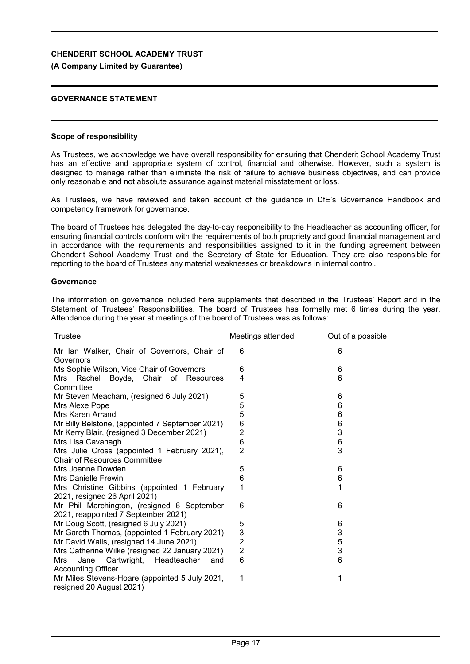## **(A Company Limited by Guarantee)**

## **GOVERNANCE STATEMENT**

#### **Scope of responsibility**

As Trustees, we acknowledge we have overall responsibility for ensuring that Chenderit School Academy Trust has an effective and appropriate system of control, financial and otherwise. However, such a system is designed to manage rather than eliminate the risk of failure to achieve business objectives, and can provide only reasonable and not absolute assurance against material misstatement or loss.

As Trustees, we have reviewed and taken account of the guidance in DfE's Governance Handbook and competency framework for governance.

The board of Trustees has delegated the day-to-day responsibility to the Headteacher as accounting officer, for ensuring financial controls conform with the requirements of both propriety and good financial management and in accordance with the requirements and responsibilities assigned to it in the funding agreement between Chenderit School Academy Trust and the Secretary of State for Education. They are also responsible for reporting to the board of Trustees any material weaknesses or breakdowns in internal control.

#### **Governance**

The information on governance included here supplements that described in the Trustees' Report and in the Statement of Trustees' Responsibilities. The board of Trustees has formally met 6 times during the year. Attendance during the year at meetings of the board of Trustees was as follows:

| Trustee                                                                             | Meetings attended | Out of a possible |
|-------------------------------------------------------------------------------------|-------------------|-------------------|
| Mr Ian Walker, Chair of Governors, Chair of<br>Governors                            | 6                 | 6                 |
| Ms Sophie Wilson, Vice Chair of Governors                                           | 6                 | 6                 |
| Mrs Rachel Boyde, Chair of Resources<br>Committee                                   | 4                 | 6                 |
| Mr Steven Meacham, (resigned 6 July 2021)                                           | 5                 | 6                 |
| Mrs Alexe Pope                                                                      | 5                 | 6                 |
| Mrs Karen Arrand                                                                    | 5                 | 6                 |
| Mr Billy Belstone, (appointed 7 September 2021)                                     | 6                 | 6                 |
| Mr Kerry Blair, (resigned 3 December 2021)                                          | $\overline{2}$    | 3                 |
| Mrs Lisa Cavanagh                                                                   | $6\phantom{1}6$   | $6\phantom{1}6$   |
| Mrs Julie Cross (appointed 1 February 2021),<br><b>Chair of Resources Committee</b> | $\overline{2}$    | 3                 |
| Mrs Joanne Dowden                                                                   | 5                 | 6                 |
| Mrs Danielle Frewin                                                                 | 6                 | 6                 |
| Mrs Christine Gibbins (appointed 1 February<br>2021, resigned 26 April 2021)        | 1                 | 1                 |
| Mr Phil Marchington, (resigned 6 September<br>2021, reappointed 7 September 2021)   | 6                 | 6                 |
| Mr Doug Scott, (resigned 6 July 2021)                                               | 5                 | 6                 |
| Mr Gareth Thomas, (appointed 1 February 2021)                                       | 3                 | 3                 |
| Mr David Walls, (resigned 14 June 2021)                                             | $\overline{2}$    | $\mathbf 5$       |
| Mrs Catherine Wilke (resigned 22 January 2021)                                      | $\overline{2}$    | 3                 |
| Cartwright, Headteacher<br>Jane<br>Mrs<br>and<br><b>Accounting Officer</b>          | 6                 | 6                 |
| Mr Miles Stevens-Hoare (appointed 5 July 2021,<br>resigned 20 August 2021)          | 1                 | 1                 |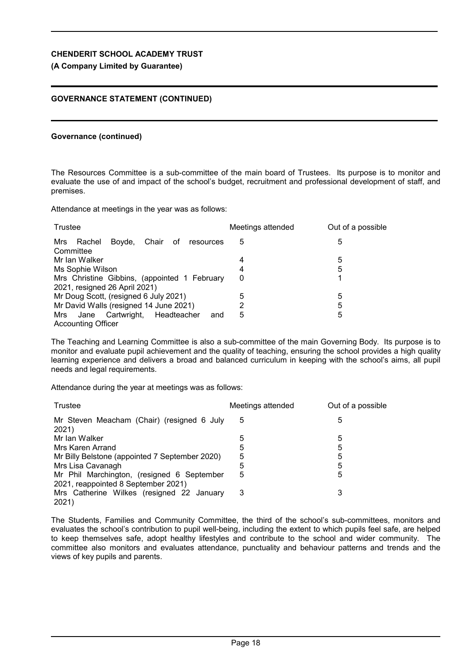### **(A Company Limited by Guarantee)**

### **GOVERNANCE STATEMENT (CONTINUED)**

#### **Governance (continued)**

The Resources Committee is a sub-committee of the main board of Trustees. Its purpose is to monitor and evaluate the use of and impact of the school's budget, recruitment and professional development of staff, and premises.

Attendance at meetings in the year was as follows:

| Trustee                                                                       | Meetings attended | Out of a possible |
|-------------------------------------------------------------------------------|-------------------|-------------------|
| Boyde, Chair<br>Rachel<br>of<br>Mrs<br>resources<br>Committee                 | 5                 | 5                 |
| Mr Ian Walker                                                                 | 4                 | 5                 |
| Ms Sophie Wilson                                                              | 4                 | 5                 |
| Mrs Christine Gibbins, (appointed 1 February<br>2021, resigned 26 April 2021) | 0                 |                   |
| Mr Doug Scott, (resigned 6 July 2021)                                         | 5                 | 5                 |
| Mr David Walls (resigned 14 June 2021)                                        | 2                 | 5                 |
| Mrs Jane Cartwright, Headteacher<br>and<br><b>Accounting Officer</b>          | 5                 | 5                 |

The Teaching and Learning Committee is also a sub-committee of the main Governing Body. Its purpose is to monitor and evaluate pupil achievement and the quality of teaching, ensuring the school provides a high quality learning experience and delivers a broad and balanced curriculum in keeping with the school's aims, all pupil needs and legal requirements.

Attendance during the year at meetings was as follows:

| Trustee                                                                           | Meetings attended | Out of a possible |
|-----------------------------------------------------------------------------------|-------------------|-------------------|
| Mr Steven Meacham (Chair) (resigned 6 July<br>2021)                               | 5                 | 5                 |
| Mr Ian Walker                                                                     | 5                 | 5                 |
| Mrs Karen Arrand                                                                  | 5                 | 5                 |
| Mr Billy Belstone (appointed 7 September 2020)                                    | 5                 | 5                 |
| Mrs Lisa Cavanagh                                                                 | 5                 | 5                 |
| Mr Phil Marchington, (resigned 6 September<br>2021, reappointed 8 September 2021) | 5                 | 5                 |
| Mrs Catherine Wilkes (resigned 22 January<br>2021)                                | 3                 | 3                 |

The Students, Families and Community Committee, the third of the school's sub-committees, monitors and evaluates the school's contribution to pupil well-being, including the extent to which pupils feel safe, are helped to keep themselves safe, adopt healthy lifestyles and contribute to the school and wider community. The committee also monitors and evaluates attendance, punctuality and behaviour patterns and trends and the views of key pupils and parents.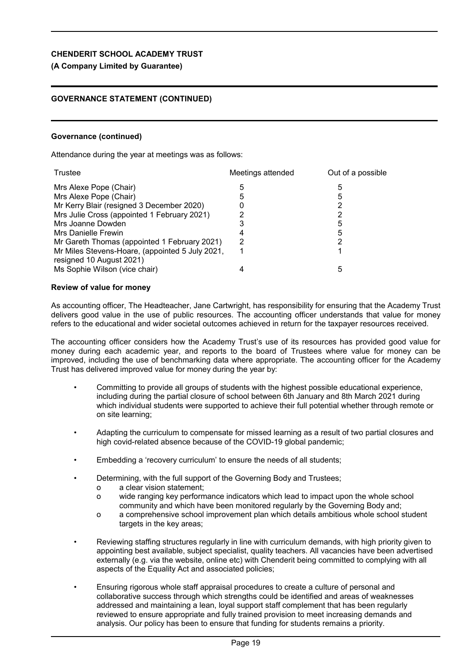# **(A Company Limited by Guarantee)**

# **GOVERNANCE STATEMENT (CONTINUED)**

# **Governance (continued)**

Attendance during the year at meetings was as follows:

| Trustee                                                                     | Meetings attended | Out of a possible |
|-----------------------------------------------------------------------------|-------------------|-------------------|
| Mrs Alexe Pope (Chair)                                                      | 5                 | 5                 |
| Mrs Alexe Pope (Chair)                                                      | 5                 | 5                 |
| Mr Kerry Blair (resigned 3 December 2020)                                   |                   |                   |
| Mrs Julie Cross (appointed 1 February 2021)                                 |                   |                   |
| Mrs Joanne Dowden                                                           |                   | 5                 |
| Mrs Danielle Frewin                                                         |                   | 5                 |
| Mr Gareth Thomas (appointed 1 February 2021)                                | 2                 |                   |
| Mr Miles Stevens-Hoare, (appointed 5 July 2021,<br>resigned 10 August 2021) |                   |                   |
| Ms Sophie Wilson (vice chair)                                               |                   | 5                 |

# **Review of value for money**

As accounting officer, The Headteacher, Jane Cartwright, has responsibility for ensuring that the Academy Trust delivers good value in the use of public resources. The accounting officer understands that value for money refers to the educational and wider societal outcomes achieved in return for the taxpayer resources received.

The accounting officer considers how the Academy Trust's use of its resources has provided good value for money during each academic year, and reports to the board of Trustees where value for money can be improved, including the use of benchmarking data where appropriate. The accounting officer for the Academy Trust has delivered improved value for money during the year by:

- Committing to provide all groups of students with the highest possible educational experience, including during the partial closure of school between 6th January and 8th March 2021 during which individual students were supported to achieve their full potential whether through remote or on site learning;
- Adapting the curriculum to compensate for missed learning as a result of two partial closures and high covid-related absence because of the COVID-19 global pandemic;
- Embedding a 'recovery curriculum' to ensure the needs of all students;
- Determining, with the full support of the Governing Body and Trustees;
	- o a clear vision statement;
	- o wide ranging key performance indicators which lead to impact upon the whole school community and which have been monitored regularly by the Governing Body and;
	- o a comprehensive school improvement plan which details ambitious whole school student targets in the key areas:
- Reviewing staffing structures regularly in line with curriculum demands, with high priority given to appointing best available, subject specialist, quality teachers. All vacancies have been advertised externally (e.g. via the website, online etc) with Chenderit being committed to complying with all aspects of the Equality Act and associated policies;
- Ensuring rigorous whole staff appraisal procedures to create a culture of personal and collaborative success through which strengths could be identified and areas of weaknesses addressed and maintaining a lean, loyal support staff complement that has been regularly reviewed to ensure appropriate and fully trained provision to meet increasing demands and analysis. Our policy has been to ensure that funding for students remains a priority.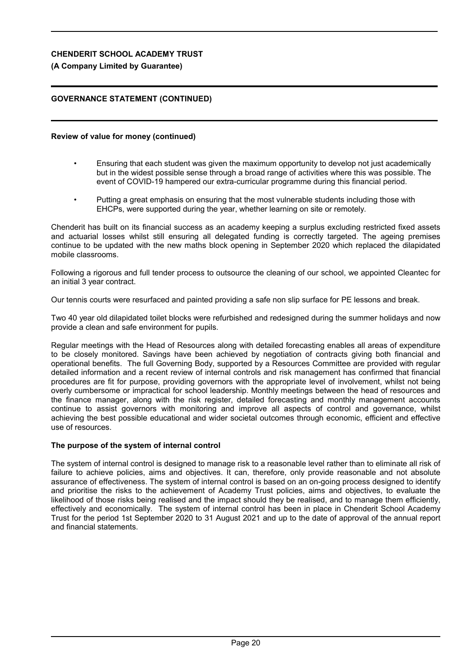## **(A Company Limited by Guarantee)**

# **GOVERNANCE STATEMENT (CONTINUED)**

#### **Review of value for money (continued)**

- Ensuring that each student was given the maximum opportunity to develop not just academically but in the widest possible sense through a broad range of activities where this was possible. The event of COVID-19 hampered our extra-curricular programme during this financial period.
- Putting a great emphasis on ensuring that the most vulnerable students including those with EHCPs, were supported during the year, whether learning on site or remotely.

Chenderit has built on its financial success as an academy keeping a surplus excluding restricted fixed assets and actuarial losses whilst still ensuring all delegated funding is correctly targeted. The ageing premises continue to be updated with the new maths block opening in September 2020 which replaced the dilapidated mobile classrooms.

Following a rigorous and full tender process to outsource the cleaning of our school, we appointed Cleantec for an initial 3 year contract.

Our tennis courts were resurfaced and painted providing a safe non slip surface for PE lessons and break.

Two 40 year old dilapidated toilet blocks were refurbished and redesigned during the summer holidays and now provide a clean and safe environment for pupils.

Regular meetings with the Head of Resources along with detailed forecasting enables all areas of expenditure to be closely monitored. Savings have been achieved by negotiation of contracts giving both financial and operational benefits. The full Governing Body, supported by a Resources Committee are provided with regular detailed information and a recent review of internal controls and risk management has confirmed that financial procedures are fit for purpose, providing governors with the appropriate level of involvement, whilst not being overly cumbersome or impractical for school leadership. Monthly meetings between the head of resources and the finance manager, along with the risk register, detailed forecasting and monthly management accounts continue to assist governors with monitoring and improve all aspects of control and governance, whilst achieving the best possible educational and wider societal outcomes through economic, efficient and effective use of resources.

### **The purpose of the system of internal control**

The system of internal control is designed to manage risk to a reasonable level rather than to eliminate all risk of failure to achieve policies, aims and objectives. It can, therefore, only provide reasonable and not absolute assurance of effectiveness. The system of internal control is based on an on-going process designed to identify and prioritise the risks to the achievement of Academy Trust policies, aims and objectives, to evaluate the likelihood of those risks being realised and the impact should they be realised, and to manage them efficiently, effectively and economically. The system of internal control has been in place in Chenderit School Academy Trust for the period 1st September 2020 to 31 August 2021 and up to the date of approval of the annual report and financial statements.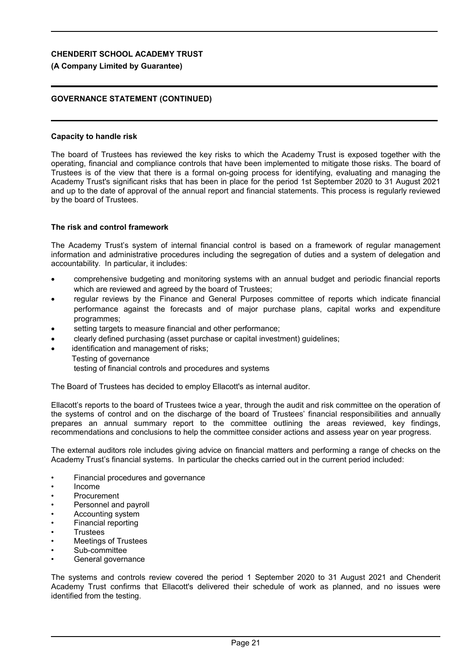## **(A Company Limited by Guarantee)**

## **GOVERNANCE STATEMENT (CONTINUED)**

#### **Capacity to handle risk**

The board of Trustees has reviewed the key risks to which the Academy Trust is exposed together with the operating, financial and compliance controls that have been implemented to mitigate those risks. The board of Trustees is of the view that there is a formal on-going process for identifying, evaluating and managing the Academy Trust's significant risks that has been in place for the period 1st September 2020 to 31 August 2021 and up to the date of approval of the annual report and financial statements. This process is regularly reviewed by the board of Trustees.

### **The risk and control framework**

The Academy Trust's system of internal financial control is based on a framework of regular management information and administrative procedures including the segregation of duties and a system of delegation and accountability. In particular, it includes:

- comprehensive budgeting and monitoring systems with an annual budget and periodic financial reports which are reviewed and agreed by the board of Trustees;
- regular reviews by the Finance and General Purposes committee of reports which indicate financial performance against the forecasts and of major purchase plans, capital works and expenditure programmes;
- setting targets to measure financial and other performance;
- clearly defined purchasing (asset purchase or capital investment) guidelines;
- identification and management of risks;
	- Testing of governance

testing of financial controls and procedures and systems

The Board of Trustees has decided to employ Ellacott's as internal auditor.

Ellacott's reports to the board of Trustees twice a year, through the audit and risk committee on the operation of the systems of control and on the discharge of the board of Trustees' financial responsibilities and annually prepares an annual summary report to the committee outlining the areas reviewed, key findings, recommendations and conclusions to help the committee consider actions and assess year on year progress.

The external auditors role includes giving advice on financial matters and performing a range of checks on the Academy Trust's financial systems. In particular the checks carried out in the current period included:

- Financial procedures and governance
- Income
- **Procurement**
- Personnel and payroll
- Accounting system
- Financial reporting
- **Trustees**
- Meetings of Trustees
- Sub-committee
- General governance

The systems and controls review covered the period 1 September 2020 to 31 August 2021 and Chenderit Academy Trust confirms that Ellacott's delivered their schedule of work as planned, and no issues were identified from the testing.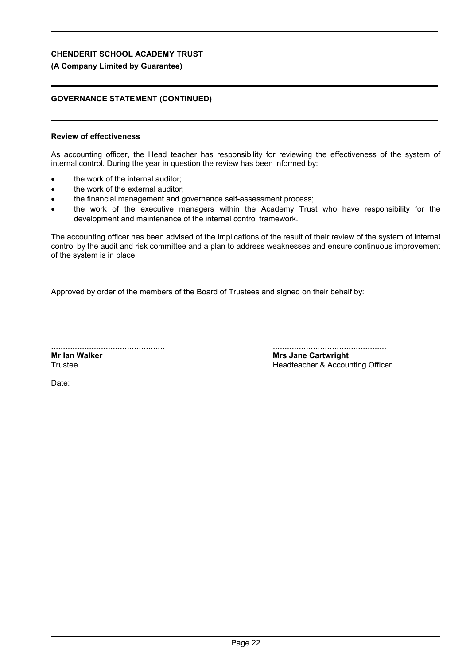# **(A Company Limited by Guarantee)**

# **GOVERNANCE STATEMENT (CONTINUED)**

# **Review of effectiveness**

As accounting officer, the Head teacher has responsibility for reviewing the effectiveness of the system of internal control. During the year in question the review has been informed by:

- the work of the internal auditor:
- the work of the external auditor;
- the financial management and governance self-assessment process;
- the work of the executive managers within the Academy Trust who have responsibility for the development and maintenance of the internal control framework.

The accounting officer has been advised of the implications of the result of their review of the system of internal control by the audit and risk committee and a plan to address weaknesses and ensure continuous improvement of the system is in place.

Approved by order of the members of the Board of Trustees and signed on their behalf by:

................................................ **Mr Ian Walker Trustee** 

................................................ **Mrs Jane Cartwright** Headteacher & Accounting Officer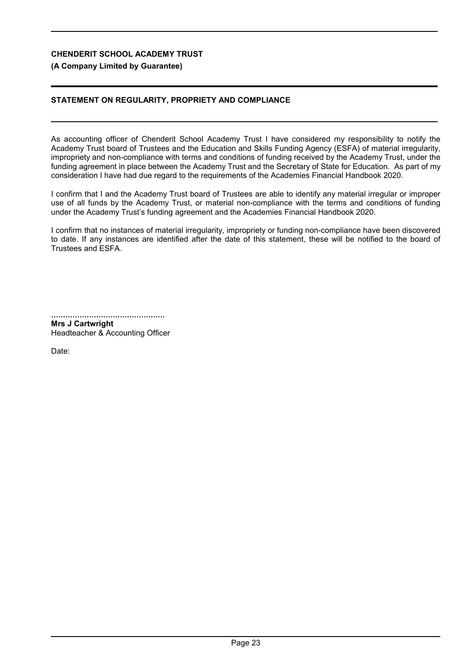# **(A Company Limited by Guarantee)**

# **STATEMENT ON REGULARITY, PROPRIETY AND COMPLIANCE**

As accounting officer of Chenderit School Academy Trust I have considered my responsibility to notify the Academy Trust board of Trustees and the Education and Skills Funding Agency (ESFA) of material irregularity, impropriety and non-compliance with terms and conditions of funding received by the Academy Trust, under the funding agreement in place between the Academy Trust and the Secretary of State for Education. As part of my consideration I have had due regard to the requirements of the Academies Financial Handbook 2020.

I confirm that I and the Academy Trust board of Trustees are able to identify any material irregular or improper use of all funds by the Academy Trust, or material non-compliance with the terms and conditions of funding under the Academy Trust's funding agreement and the Academies Financial Handbook 2020.

I confirm that no instances of material irregularity, impropriety or funding non-compliance have been discovered to date. If any instances are identified after the date of this statement, these will be notified to the board of Trustees and ESFA.

................................................

**Mrs J Cartwright** Headteacher & Accounting Officer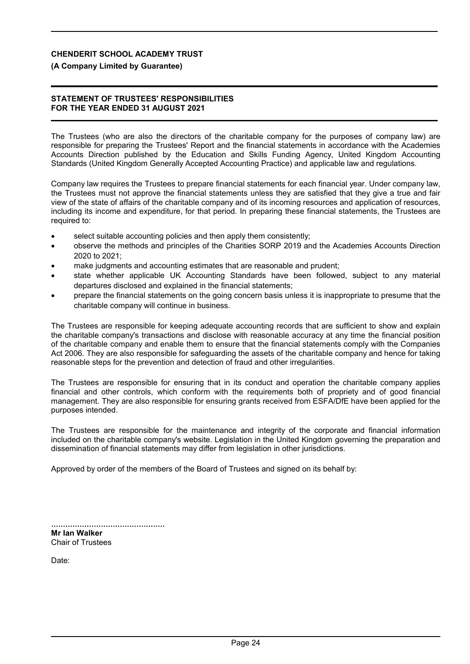# **(A Company Limited by Guarantee)**

## **STATEMENT OF TRUSTEES' RESPONSIBILITIES FOR THE YEAR ENDED 31 AUGUST 2021**

The Trustees (who are also the directors of the charitable company for the purposes of company law) are responsible for preparing the Trustees' Report and the financial statements in accordance with the Academies Accounts Direction published by the Education and Skills Funding Agency, United Kingdom Accounting Standards (United Kingdom Generally Accepted Accounting Practice) and applicable law and regulations.

Company law requires the Trustees to prepare financial statements for each financial year. Under company law, the Trustees must not approve the financial statements unless they are satisfied that they give a true and fair view of the state of affairs of the charitable company and of its incoming resources and application of resources, including its income and expenditure, for that period. In preparing these financial statements, the Trustees are required to:

- select suitable accounting policies and then apply them consistently;
- observe the methods and principles of the Charities SORP 2019 and the Academies Accounts Direction 2020 to 2021;
- make judgments and accounting estimates that are reasonable and prudent;
- state whether applicable UK Accounting Standards have been followed, subject to any material departures disclosed and explained in the financial statements;
- prepare the financial statements on the going concern basis unless it is inappropriate to presume that the charitable company will continue in business.

The Trustees are responsible for keeping adequate accounting records that are sufficient to show and explain the charitable company's transactions and disclose with reasonable accuracy at any time the financial position of the charitable company and enable them to ensure that the financial statements comply with the Companies Act 2006. They are also responsible for safeguarding the assets of the charitable company and hence for taking reasonable steps for the prevention and detection of fraud and other irregularities.

The Trustees are responsible for ensuring that in its conduct and operation the charitable company applies financial and other controls, which conform with the requirements both of propriety and of good financial management. They are also responsible for ensuring grants received from ESFA/DfE have been applied for the purposes intended.

The Trustees are responsible for the maintenance and integrity of the corporate and financial information included on the charitable company's website. Legislation in the United Kingdom governing the preparation and dissemination of financial statements may differ from legislation in other jurisdictions.

Approved by order of the members of the Board of Trustees and signed on its behalf by:

| Mr Ian Walker            |  |
|--------------------------|--|
| <b>Chair of Trustees</b> |  |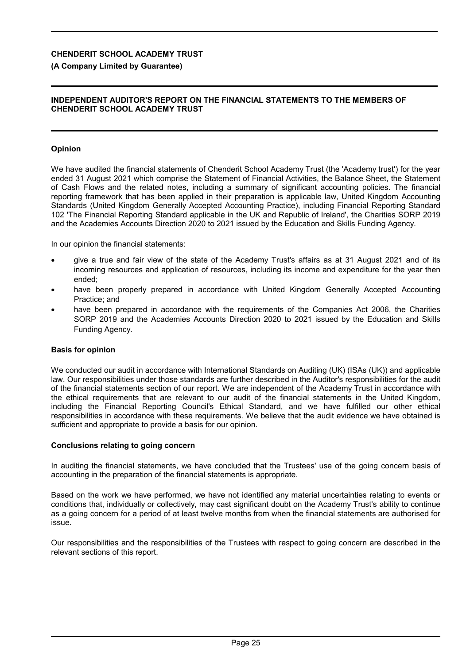### **(A Company Limited by Guarantee)**

#### **INDEPENDENT AUDITOR'S REPORT ON THE FINANCIAL STATEMENTS TO THE MEMBERS OF CHENDERIT SCHOOL ACADEMY TRUST**

### **Opinion**

We have audited the financial statements of Chenderit School Academy Trust (the 'Academy trust') for the year ended 31 August 2021 which comprise the Statement of Financial Activities, the Balance Sheet, the Statement of Cash Flows and the related notes, including a summary of significant accounting policies. The financial reporting framework that has been applied in their preparation is applicable law, United Kingdom Accounting Standards (United Kingdom Generally Accepted Accounting Practice), including Financial Reporting Standard 102 'The Financial Reporting Standard applicable in the UK and Republic of Ireland', the Charities SORP 2019 and the Academies Accounts Direction 2020 to 2021 issued by the Education and Skills Funding Agency.

In our opinion the financial statements:

- give a true and fair view of the state of the Academy Trust's affairs as at 31 August 2021 and of its incoming resources and application of resources, including its income and expenditure for the year then ended;
- have been properly prepared in accordance with United Kingdom Generally Accepted Accounting Practice; and
- have been prepared in accordance with the requirements of the Companies Act 2006, the Charities SORP 2019 and the Academies Accounts Direction 2020 to 2021 issued by the Education and Skills Funding Agency.

### **Basis for opinion**

We conducted our audit in accordance with International Standards on Auditing (UK) (ISAs (UK)) and applicable law. Our responsibilities under those standards are further described in the Auditor's responsibilities for the audit of the financial statements section of our report. We are independent of the Academy Trust in accordance with the ethical requirements that are relevant to our audit of the financial statements in the United Kingdom, including the Financial Reporting Council's Ethical Standard, and we have fulfilled our other ethical responsibilities in accordance with these requirements. We believe that the audit evidence we have obtained is sufficient and appropriate to provide a basis for our opinion.

#### **Conclusions relating to going concern**

In auditing the financial statements, we have concluded that the Trustees' use of the going concern basis of accounting in the preparation of the financial statements is appropriate.

Based on the work we have performed, we have not identified any material uncertainties relating to events or conditions that, individually or collectively, may cast significant doubt on the Academy Trust's ability to continue as a going concern for a period of at least twelve months from when the financial statements are authorised for issue.

Our responsibilities and the responsibilities of the Trustees with respect to going concern are described in the relevant sections of this report.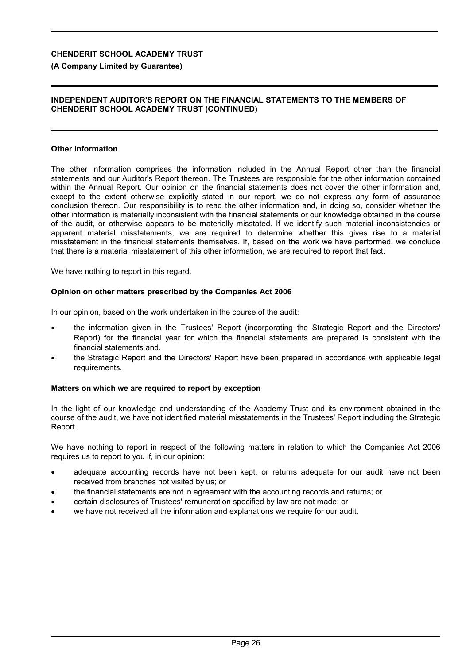### **(A Company Limited by Guarantee)**

### **INDEPENDENT AUDITOR'S REPORT ON THE FINANCIAL STATEMENTS TO THE MEMBERS OF CHENDERIT SCHOOL ACADEMY TRUST (CONTINUED)**

#### **Other information**

The other information comprises the information included in the Annual Report other than the financial statements and our Auditor's Report thereon. The Trustees are responsible for the other information contained within the Annual Report. Our opinion on the financial statements does not cover the other information and, except to the extent otherwise explicitly stated in our report, we do not express any form of assurance conclusion thereon. Our responsibility is to read the other information and, in doing so, consider whether the other information is materially inconsistent with the financial statements or our knowledge obtained in the course of the audit, or otherwise appears to be materially misstated. If we identify such material inconsistencies or apparent material misstatements, we are required to determine whether this gives rise to a material misstatement in the financial statements themselves. If, based on the work we have performed, we conclude that there is a material misstatement of this other information, we are required to report that fact.

We have nothing to report in this regard.

#### **Opinion on other matters prescribed by the Companies Act 2006**

In our opinion, based on the work undertaken in the course of the audit:

- the information given in the Trustees' Report (incorporating the Strategic Report and the Directors' Report) for the financial year for which the financial statements are prepared is consistent with the financial statements and.
- the Strategic Report and the Directors' Report have been prepared in accordance with applicable legal requirements.

### **Matters on which we are required to report by exception**

In the light of our knowledge and understanding of the Academy Trust and its environment obtained in the course of the audit, we have not identified material misstatements in the Trustees' Report including the Strategic Report.

We have nothing to report in respect of the following matters in relation to which the Companies Act 2006 requires us to report to you if, in our opinion:

- adequate accounting records have not been kept, or returns adequate for our audit have not been received from branches not visited by us; or
- the financial statements are not in agreement with the accounting records and returns; or
- certain disclosures of Trustees' remuneration specified by law are not made; or
- we have not received all the information and explanations we require for our audit.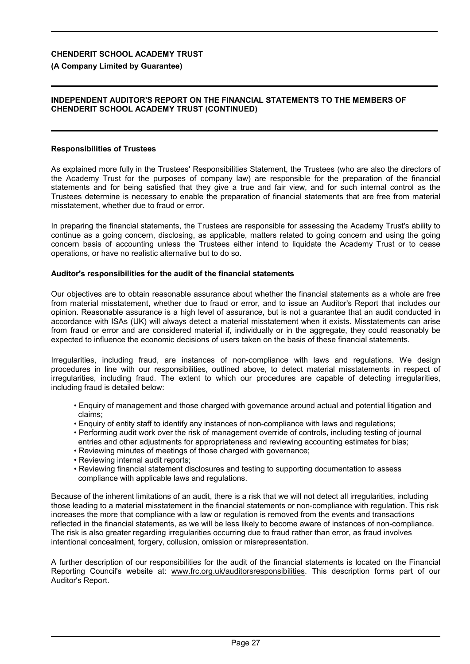**(A Company Limited by Guarantee)**

#### **INDEPENDENT AUDITOR'S REPORT ON THE FINANCIAL STATEMENTS TO THE MEMBERS OF CHENDERIT SCHOOL ACADEMY TRUST (CONTINUED)**

#### **Responsibilities of Trustees**

As explained more fully in the Trustees' Responsibilities Statement, the Trustees (who are also the directors of the Academy Trust for the purposes of company law) are responsible for the preparation of the financial statements and for being satisfied that they give a true and fair view, and for such internal control as the Trustees determine is necessary to enable the preparation of financial statements that are free from material misstatement, whether due to fraud or error.

In preparing the financial statements, the Trustees are responsible for assessing the Academy Trust's ability to continue as a going concern, disclosing, as applicable, matters related to going concern and using the going concern basis of accounting unless the Trustees either intend to liquidate the Academy Trust or to cease operations, or have no realistic alternative but to do so.

#### **Auditor's responsibilities for the audit of the financial statements**

Our objectives are to obtain reasonable assurance about whether the financial statements as a whole are free from material misstatement, whether due to fraud or error, and to issue an Auditor's Report that includes our opinion. Reasonable assurance is a high level of assurance, but is not a guarantee that an audit conducted in accordance with ISAs (UK) will always detect a material misstatement when it exists. Misstatements can arise from fraud or error and are considered material if, individually or in the aggregate, they could reasonably be expected to influence the economic decisions of users taken on the basis of these financial statements.

Irregularities, including fraud, are instances of non-compliance with laws and regulations. We design procedures in line with our responsibilities, outlined above, to detect material misstatements in respect of irregularities, including fraud. The extent to which our procedures are capable of detecting irregularities, including fraud is detailed below:

- Enquiry of management and those charged with governance around actual and potential litigation and claims;
- Enquiry of entity staff to identify any instances of non-compliance with laws and regulations;
- Performing audit work over the risk of management override of controls, including testing of journal entries and other adjustments for appropriateness and reviewing accounting estimates for bias;
- Reviewing minutes of meetings of those charged with governance;
- Reviewing internal audit reports;
- Reviewing financial statement disclosures and testing to supporting documentation to assess compliance with applicable laws and regulations.

Because of the inherent limitations of an audit, there is a risk that we will not detect all irregularities, including those leading to a material misstatement in the financial statements or non-compliance with regulation. This risk increases the more that compliance with a law or regulation is removed from the events and transactions reflected in the financial statements, as we will be less likely to become aware of instances of non-compliance. The risk is also greater regarding irregularities occurring due to fraud rather than error, as fraud involves intentional concealment, forgery, collusion, omission or misrepresentation.

A further description of our responsibilities for the audit of the financial statements is located on the Financial Reporting Council's website at: www.frc.org.uk/auditorsresponsibilities. This description forms part of our Auditor's Report.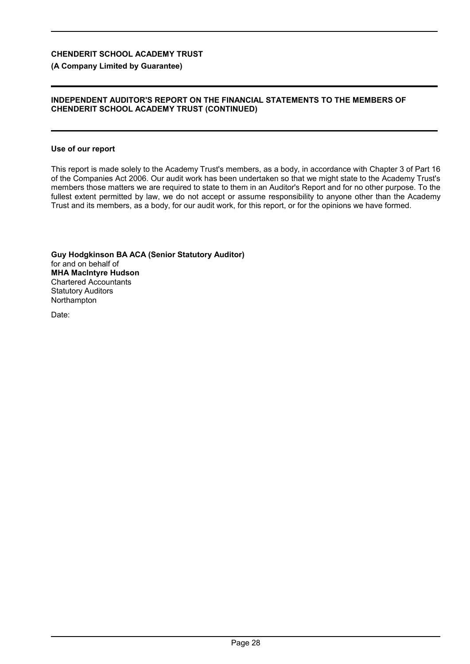### **(A Company Limited by Guarantee)**

### **INDEPENDENT AUDITOR'S REPORT ON THE FINANCIAL STATEMENTS TO THE MEMBERS OF CHENDERIT SCHOOL ACADEMY TRUST (CONTINUED)**

#### **Use of our report**

This report is made solely to the Academy Trust's members, as a body, in accordance with Chapter 3 of Part 16 of the Companies Act 2006. Our audit work has been undertaken so that we might state to the Academy Trust's members those matters we are required to state to them in an Auditor's Report and for no other purpose. To the fullest extent permitted by law, we do not accept or assume responsibility to anyone other than the Academy Trust and its members, as a body, for our audit work, for this report, or for the opinions we have formed.

**Guy Hodgkinson BA ACA (Senior Statutory Auditor)** for and on behalf of **MHA MacIntyre Hudson** Chartered Accountants Statutory Auditors Northampton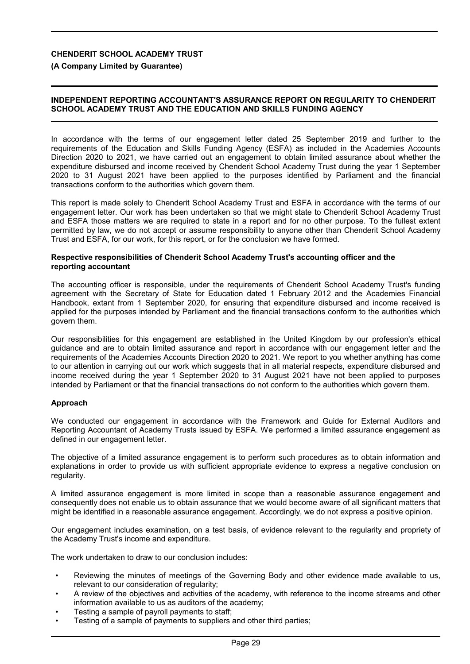**(A Company Limited by Guarantee)**

### **INDEPENDENT REPORTING ACCOUNTANT'S ASSURANCE REPORT ON REGULARITY TO CHENDERIT SCHOOL ACADEMY TRUST AND THE EDUCATION AND SKILLS FUNDING AGENCY**

In accordance with the terms of our engagement letter dated 25 September 2019 and further to the requirements of the Education and Skills Funding Agency (ESFA) as included in the Academies Accounts Direction 2020 to 2021, we have carried out an engagement to obtain limited assurance about whether the expenditure disbursed and income received by Chenderit School Academy Trust during the year 1 September 2020 to 31 August 2021 have been applied to the purposes identified by Parliament and the financial transactions conform to the authorities which govern them.

This report is made solely to Chenderit School Academy Trust and ESFA in accordance with the terms of our engagement letter. Our work has been undertaken so that we might state to Chenderit School Academy Trust and ESFA those matters we are required to state in a report and for no other purpose. To the fullest extent permitted by law, we do not accept or assume responsibility to anyone other than Chenderit School Academy Trust and ESFA, for our work, for this report, or for the conclusion we have formed.

#### **Respective responsibilities of Chenderit School Academy Trust's accounting officer and the reporting accountant**

The accounting officer is responsible, under the requirements of Chenderit School Academy Trust's funding agreement with the Secretary of State for Education dated 1 February 2012 and the Academies Financial Handbook, extant from 1 September 2020, for ensuring that expenditure disbursed and income received is applied for the purposes intended by Parliament and the financial transactions conform to the authorities which govern them.

Our responsibilities for this engagement are established in the United Kingdom by our profession's ethical guidance and are to obtain limited assurance and report in accordance with our engagement letter and the requirements of the Academies Accounts Direction 2020 to 2021. We report to you whether anything has come to our attention in carrying out our work which suggests that in all material respects, expenditure disbursed and income received during the year 1 September 2020 to 31 August 2021 have not been applied to purposes intended by Parliament or that the financial transactions do not conform to the authorities which govern them.

### **Approach**

We conducted our engagement in accordance with the Framework and Guide for External Auditors and Reporting Accountant of Academy Trusts issued by ESFA. We performed a limited assurance engagement as defined in our engagement letter.

The objective of a limited assurance engagement is to perform such procedures as to obtain information and explanations in order to provide us with sufficient appropriate evidence to express a negative conclusion on regularity.

A limited assurance engagement is more limited in scope than a reasonable assurance engagement and consequently does not enable us to obtain assurance that we would become aware of all significant matters that might be identified in a reasonable assurance engagement. Accordingly, we do not express a positive opinion.

Our engagement includes examination, on a test basis, of evidence relevant to the regularity and propriety of the Academy Trust's income and expenditure.

The work undertaken to draw to our conclusion includes:

- Reviewing the minutes of meetings of the Governing Body and other evidence made available to us, relevant to our consideration of regularity;
- A review of the objectives and activities of the academy, with reference to the income streams and other information available to us as auditors of the academy;
- Testing a sample of payroll payments to staff;
- Testing of a sample of payments to suppliers and other third parties;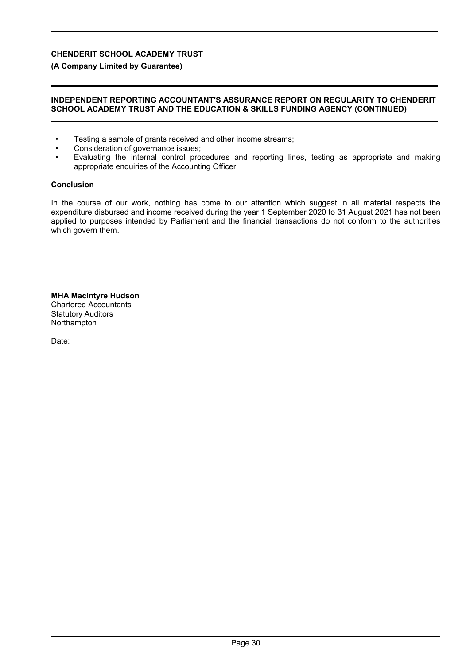**(A Company Limited by Guarantee)**

#### **INDEPENDENT REPORTING ACCOUNTANT'S ASSURANCE REPORT ON REGULARITY TO CHENDERIT SCHOOL ACADEMY TRUST AND THE EDUCATION & SKILLS FUNDING AGENCY (CONTINUED)**

- Testing a sample of grants received and other income streams;
- Consideration of governance issues;
- Evaluating the internal control procedures and reporting lines, testing as appropriate and making appropriate enquiries of the Accounting Officer.

#### **Conclusion**

In the course of our work, nothing has come to our attention which suggest in all material respects the expenditure disbursed and income received during the year 1 September 2020 to 31 August 2021 has not been applied to purposes intended by Parliament and the financial transactions do not conform to the authorities which govern them.

#### **MHA MacIntyre Hudson** Chartered Accountants Statutory Auditors **Northampton**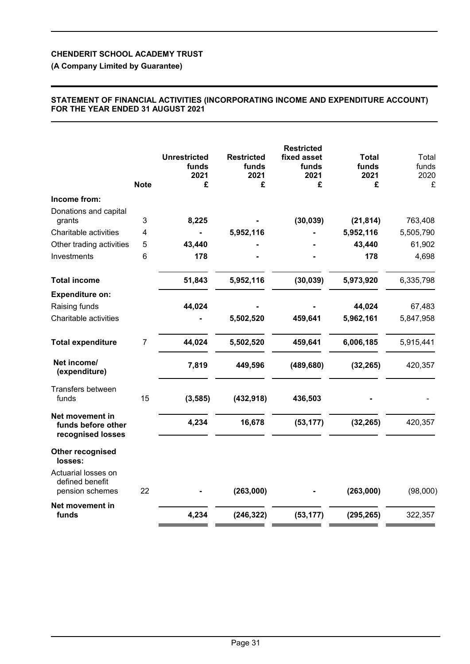**(A Company Limited by Guarantee)**

## **STATEMENT OF FINANCIAL ACTIVITIES (INCORPORATING INCOME AND EXPENDITURE ACCOUNT) FOR THE YEAR ENDED 31 AUGUST 2021**

|                                                            | <b>Note</b>    | <b>Unrestricted</b><br>funds<br>2021<br>£ | <b>Restricted</b><br>funds<br>2021<br>£ | <b>Restricted</b><br>fixed asset<br>funds<br>2021<br>£ | <b>Total</b><br>funds<br>2021<br>£ | Total<br>funds<br>2020<br>£ |
|------------------------------------------------------------|----------------|-------------------------------------------|-----------------------------------------|--------------------------------------------------------|------------------------------------|-----------------------------|
| Income from:                                               |                |                                           |                                         |                                                        |                                    |                             |
| Donations and capital<br>grants                            | 3              | 8,225                                     |                                         | (30, 039)                                              | (21, 814)                          | 763,408                     |
| Charitable activities                                      | 4              |                                           | 5,952,116                               |                                                        | 5,952,116                          | 5,505,790                   |
| Other trading activities                                   | 5              | 43,440                                    |                                         |                                                        | 43,440                             | 61,902                      |
| Investments                                                | 6              | 178                                       |                                         |                                                        | 178                                | 4,698                       |
| <b>Total income</b>                                        |                | 51,843                                    | 5,952,116                               | (30, 039)                                              | 5,973,920                          | 6,335,798                   |
| <b>Expenditure on:</b>                                     |                |                                           |                                         |                                                        |                                    |                             |
| Raising funds                                              |                | 44,024                                    |                                         |                                                        | 44,024                             | 67,483                      |
| Charitable activities                                      |                |                                           | 5,502,520                               | 459,641                                                | 5,962,161                          | 5,847,958                   |
| <b>Total expenditure</b>                                   | $\overline{7}$ | 44,024                                    | 5,502,520                               | 459,641                                                | 6,006,185                          | 5,915,441                   |
| Net income/<br>(expenditure)                               |                | 7,819                                     | 449,596                                 | (489, 680)                                             | (32, 265)                          | 420,357                     |
| Transfers between<br>funds                                 | 15             | (3, 585)                                  | (432, 918)                              | 436,503                                                |                                    |                             |
| Net movement in<br>funds before other<br>recognised losses |                | 4,234                                     | 16,678                                  | (53, 177)                                              | (32, 265)                          | 420,357                     |
| Other recognised<br>losses:                                |                |                                           |                                         |                                                        |                                    |                             |
| Actuarial losses on<br>defined benefit<br>pension schemes  | 22             |                                           | (263,000)                               |                                                        | (263,000)                          | (98,000)                    |
| Net movement in<br>funds                                   |                | 4,234                                     | (246, 322)                              | (53, 177)                                              | (295, 265)                         | 322,357                     |
|                                                            |                |                                           |                                         |                                                        |                                    |                             |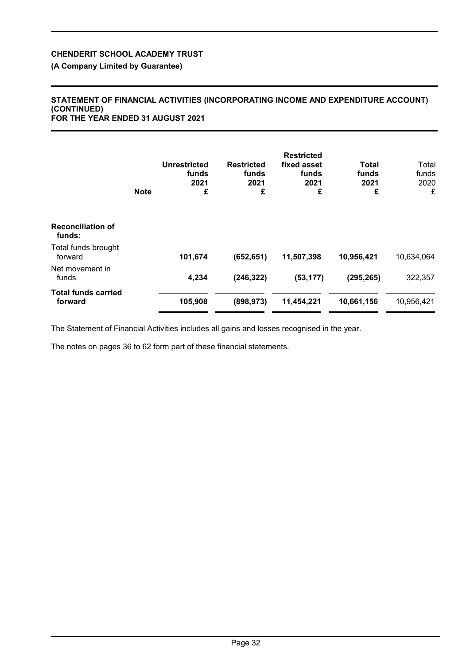**(A Company Limited by Guarantee)**

#### **STATEMENT OF FINANCIAL ACTIVITIES (INCORPORATING INCOME AND EXPENDITURE ACCOUNT) (CONTINUED) FOR THE YEAR ENDED 31 AUGUST 2021**

|                                       | <b>Note</b> | <b>Unrestricted</b><br>funds<br>2021<br>£ | <b>Restricted</b><br>funds<br>2021<br>£ | <b>Restricted</b><br>fixed asset<br>funds<br>2021<br>£ | Total<br>funds<br>2021<br>£ | Total<br>funds<br>2020<br>£ |
|---------------------------------------|-------------|-------------------------------------------|-----------------------------------------|--------------------------------------------------------|-----------------------------|-----------------------------|
| <b>Reconciliation of</b><br>funds:    |             |                                           |                                         |                                                        |                             |                             |
| Total funds brought<br>forward        |             | 101,674                                   | (652, 651)                              | 11,507,398                                             | 10,956,421                  | 10,634,064                  |
| Net movement in<br>funds              |             | 4,234                                     | (246, 322)                              | (53, 177)                                              | (295, 265)                  | 322,357                     |
| <b>Total funds carried</b><br>forward |             | 105,908                                   | (898, 973)                              | 11,454,221                                             | 10,661,156                  | 10,956,421                  |

The Statement of Financial Activities includes all gains and losses recognised in the year.

The notes on pages 36 to 62 form part of these financial statements.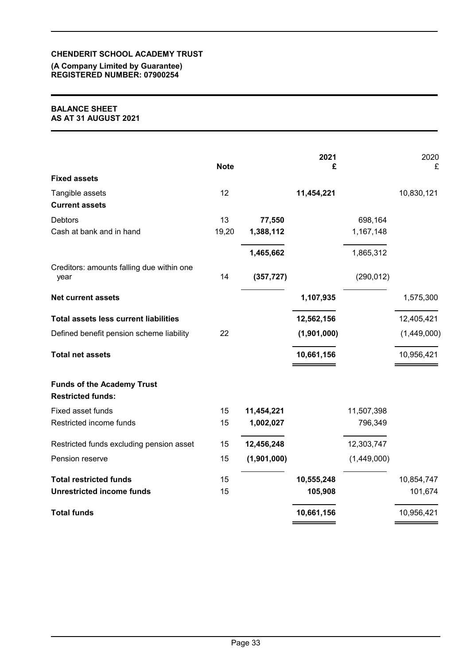### **(A Company Limited by Guarantee) REGISTERED NUMBER: 07900254**

### **BALANCE SHEET AS AT 31 AUGUST 2021**

|                                                               | <b>Note</b> |             | 2021<br>£   |             | 2020<br>£   |
|---------------------------------------------------------------|-------------|-------------|-------------|-------------|-------------|
| <b>Fixed assets</b>                                           |             |             |             |             |             |
| Tangible assets<br><b>Current assets</b>                      | 12          |             | 11,454,221  |             | 10,830,121  |
| <b>Debtors</b>                                                | 13          | 77,550      |             | 698,164     |             |
| Cash at bank and in hand                                      | 19,20       | 1,388,112   |             | 1,167,148   |             |
|                                                               |             | 1,465,662   |             | 1,865,312   |             |
| Creditors: amounts falling due within one<br>year             | 14          | (357, 727)  |             | (290, 012)  |             |
| <b>Net current assets</b>                                     |             |             | 1,107,935   |             | 1,575,300   |
| <b>Total assets less current liabilities</b>                  |             |             | 12,562,156  |             | 12,405,421  |
| Defined benefit pension scheme liability                      | 22          |             | (1,901,000) |             | (1,449,000) |
| <b>Total net assets</b>                                       |             |             | 10,661,156  |             | 10,956,421  |
| <b>Funds of the Academy Trust</b><br><b>Restricted funds:</b> |             |             |             |             |             |
| Fixed asset funds                                             | 15          | 11,454,221  |             | 11,507,398  |             |
| Restricted income funds                                       | 15          | 1,002,027   |             | 796,349     |             |
| Restricted funds excluding pension asset                      | 15          | 12,456,248  |             | 12,303,747  |             |
| Pension reserve                                               | 15          | (1,901,000) |             | (1,449,000) |             |
| <b>Total restricted funds</b>                                 | 15          |             | 10,555,248  |             | 10,854,747  |
| <b>Unrestricted income funds</b>                              | 15          |             | 105,908     |             | 101,674     |
| <b>Total funds</b>                                            |             |             | 10,661,156  |             | 10,956,421  |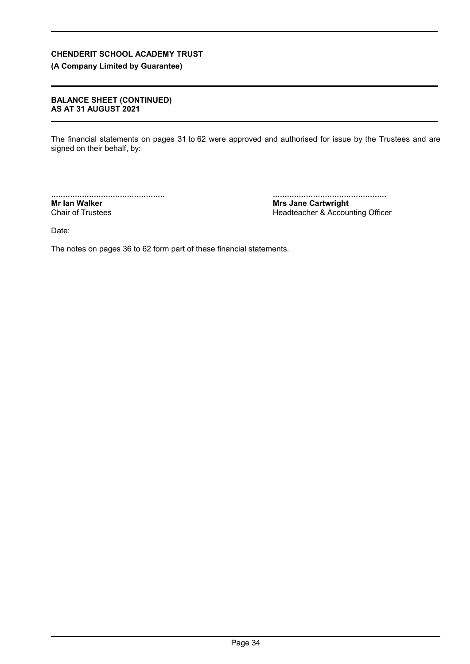# **(A Company Limited by Guarantee)**

### **BALANCE SHEET (CONTINUED) AS AT 31 AUGUST 2021**

The financial statements on pages 31 to 62 were approved and authorised for issue by the Trustees and are signed on their behalf, by:

................................................ **Mr Ian Walker** Chair of Trustees

................................................ **Mrs Jane Cartwright** Headteacher & Accounting Officer

Date:

The notes on pages 36 to 62 form part of these financial statements.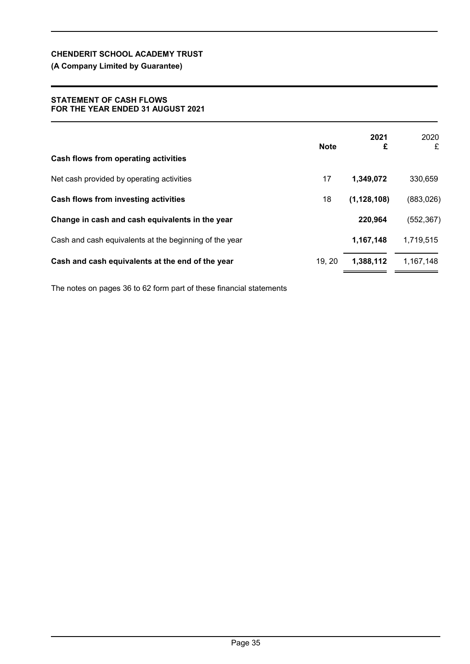# **(A Company Limited by Guarantee)**

#### **STATEMENT OF CASH FLOWS FOR THE YEAR ENDED 31 AUGUST 2021**

| Cash flows from operating activities                   | <b>Note</b> | 2021<br>£     | 2020<br>£  |
|--------------------------------------------------------|-------------|---------------|------------|
| Net cash provided by operating activities              | 17          | 1,349,072     | 330,659    |
| Cash flows from investing activities                   | 18          | (1, 128, 108) | (883, 026) |
| Change in cash and cash equivalents in the year        |             | 220,964       | (552, 367) |
| Cash and cash equivalents at the beginning of the year |             | 1,167,148     | 1,719,515  |
| Cash and cash equivalents at the end of the year       | 19, 20      | 1,388,112     | 1,167,148  |

The notes on pages 36 to 62 form part of these financial statements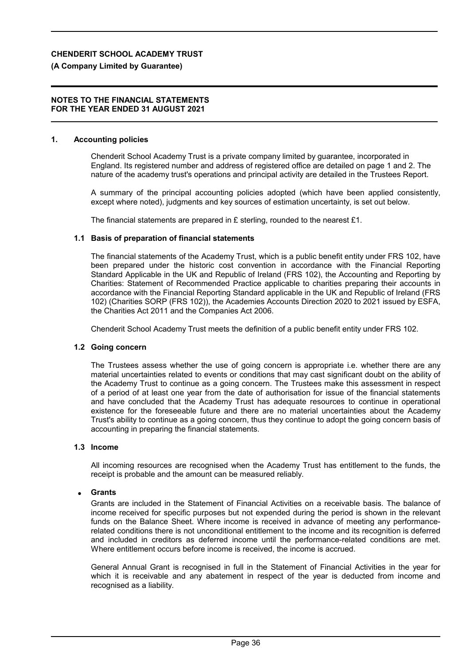### **(A Company Limited by Guarantee)**

#### **NOTES TO THE FINANCIAL STATEMENTS FOR THE YEAR ENDED 31 AUGUST 2021**

#### **1. Accounting policies**

Chenderit School Academy Trust is a private company limited by guarantee, incorporated in England. Its registered number and address of registered office are detailed on page 1 and 2. The nature of the academy trust's operations and principal activity are detailed in the Trustees Report.

A summary of the principal accounting policies adopted (which have been applied consistently, except where noted), judgments and key sources of estimation uncertainty, is set out below.

The financial statements are prepared in £ sterling, rounded to the nearest £1.

### **1.1 Basis of preparation of financial statements**

The financial statements of the Academy Trust, which is a public benefit entity under FRS 102, have been prepared under the historic cost convention in accordance with the Financial Reporting Standard Applicable in the UK and Republic of Ireland (FRS 102), the Accounting and Reporting by Charities: Statement of Recommended Practice applicable to charities preparing their accounts in accordance with the Financial Reporting Standard applicable in the UK and Republic of Ireland (FRS 102) (Charities SORP (FRS 102)), the Academies Accounts Direction 2020 to 2021 issued by ESFA, the Charities Act 2011 and the Companies Act 2006.

Chenderit School Academy Trust meets the definition of a public benefit entity under FRS 102.

### **1.2 Going concern**

The Trustees assess whether the use of going concern is appropriate i.e. whether there are any material uncertainties related to events or conditions that may cast significant doubt on the ability of the Academy Trust to continue as a going concern. The Trustees make this assessment in respect of a period of at least one year from the date of authorisation for issue of the financial statements and have concluded that the Academy Trust has adequate resources to continue in operational existence for the foreseeable future and there are no material uncertainties about the Academy Trust's ability to continue as a going concern, thus they continue to adopt the going concern basis of accounting in preparing the financial statements.

#### **1.3 Income**

All incoming resources are recognised when the Academy Trust has entitlement to the funds, the receipt is probable and the amount can be measured reliably.

### **Grants**

Grants are included in the Statement of Financial Activities on a receivable basis. The balance of income received for specific purposes but not expended during the period is shown in the relevant funds on the Balance Sheet. Where income is received in advance of meeting any performancerelated conditions there is not unconditional entitlement to the income and its recognition is deferred and included in creditors as deferred income until the performance-related conditions are met. Where entitlement occurs before income is received, the income is accrued.

General Annual Grant is recognised in full in the Statement of Financial Activities in the year for which it is receivable and any abatement in respect of the year is deducted from income and recognised as a liability.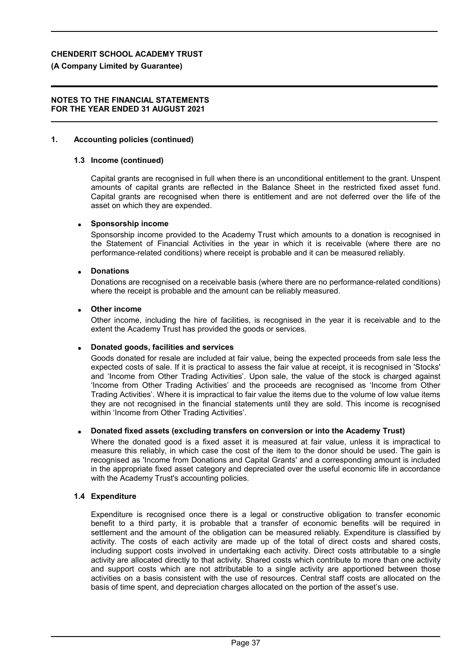### **(A Company Limited by Guarantee)**

#### **NOTES TO THE FINANCIAL STATEMENTS FOR THE YEAR ENDED 31 AUGUST 2021**

#### **1. Accounting policies (continued)**

#### **1.3 Income (continued)**

Capital grants are recognised in full when there is an unconditional entitlement to the grant. Unspent amounts of capital grants are reflected in the Balance Sheet in the restricted fixed asset fund. Capital grants are recognised when there is entitlement and are not deferred over the life of the asset on which they are expended.

#### **Sponsorship income**

Sponsorship income provided to the Academy Trust which amounts to a donation is recognised in the Statement of Financial Activities in the year in which it is receivable (where there are no performance-related conditions) where receipt is probable and it can be measured reliably.

#### **Donations**

Donations are recognised on a receivable basis (where there are no performance-related conditions) where the receipt is probable and the amount can be reliably measured.

#### **Other income**

Other income, including the hire of facilities, is recognised in the year it is receivable and to the extent the Academy Trust has provided the goods or services.

### **Donated goods, facilities and services**

Goods donated for resale are included at fair value, being the expected proceeds from sale less the expected costs of sale. If it is practical to assess the fair value at receipt, it is recognised in 'Stocks' and 'Income from Other Trading Activities'. Upon sale, the value of the stock is charged against 'Income from Other Trading Activities' and the proceeds are recognised as 'Income from Other Trading Activities'. Where it is impractical to fair value the items due to the volume of low value items they are not recognised in the financial statements until they are sold. This income is recognised within 'Income from Other Trading Activities'.

### **Donated fixed assets (excluding transfers on conversion or into the Academy Trust)**

Where the donated good is a fixed asset it is measured at fair value, unless it is impractical to measure this reliably, in which case the cost of the item to the donor should be used. The gain is recognised as 'Income from Donations and Capital Grants' and a corresponding amount is included in the appropriate fixed asset category and depreciated over the useful economic life in accordance with the Academy Trust's accounting policies.

#### **1.4 Expenditure**

Expenditure is recognised once there is a legal or constructive obligation to transfer economic benefit to a third party, it is probable that a transfer of economic benefits will be required in settlement and the amount of the obligation can be measured reliably. Expenditure is classified by activity. The costs of each activity are made up of the total of direct costs and shared costs, including support costs involved in undertaking each activity. Direct costs attributable to a single activity are allocated directly to that activity. Shared costs which contribute to more than one activity and support costs which are not attributable to a single activity are apportioned between those activities on a basis consistent with the use of resources. Central staff costs are allocated on the basis of time spent, and depreciation charges allocated on the portion of the asset's use.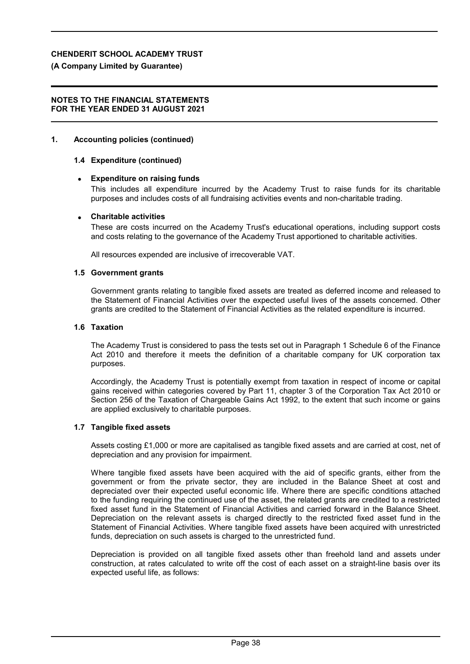#### **(A Company Limited by Guarantee)**

#### **NOTES TO THE FINANCIAL STATEMENTS FOR THE YEAR ENDED 31 AUGUST 2021**

#### **1. Accounting policies (continued)**

#### **1.4 Expenditure (continued)**

#### **Expenditure on raising funds**

This includes all expenditure incurred by the Academy Trust to raise funds for its charitable purposes and includes costs of all fundraising activities events and non-charitable trading.

#### **Charitable activities**

These are costs incurred on the Academy Trust's educational operations, including support costs and costs relating to the governance of the Academy Trust apportioned to charitable activities.

All resources expended are inclusive of irrecoverable VAT.

#### **1.5 Government grants**

Government grants relating to tangible fixed assets are treated as deferred income and released to the Statement of Financial Activities over the expected useful lives of the assets concerned. Other grants are credited to the Statement of Financial Activities as the related expenditure is incurred.

#### **1.6 Taxation**

The Academy Trust is considered to pass the tests set out in Paragraph 1 Schedule 6 of the Finance Act 2010 and therefore it meets the definition of a charitable company for UK corporation tax purposes.

Accordingly, the Academy Trust is potentially exempt from taxation in respect of income or capital gains received within categories covered by Part 11, chapter 3 of the Corporation Tax Act 2010 or Section 256 of the Taxation of Chargeable Gains Act 1992, to the extent that such income or gains are applied exclusively to charitable purposes.

#### **1.7 Tangible fixed assets**

Assets costing £1,000 or more are capitalised as tangible fixed assets and are carried at cost, net of depreciation and any provision for impairment.

Where tangible fixed assets have been acquired with the aid of specific grants, either from the government or from the private sector, they are included in the Balance Sheet at cost and depreciated over their expected useful economic life. Where there are specific conditions attached to the funding requiring the continued use of the asset, the related grants are credited to a restricted fixed asset fund in the Statement of Financial Activities and carried forward in the Balance Sheet. Depreciation on the relevant assets is charged directly to the restricted fixed asset fund in the Statement of Financial Activities. Where tangible fixed assets have been acquired with unrestricted funds, depreciation on such assets is charged to the unrestricted fund.

Depreciation is provided on all tangible fixed assets other than freehold land and assets under construction, at rates calculated to write off the cost of each asset on a straight-line basis over its expected useful life, as follows: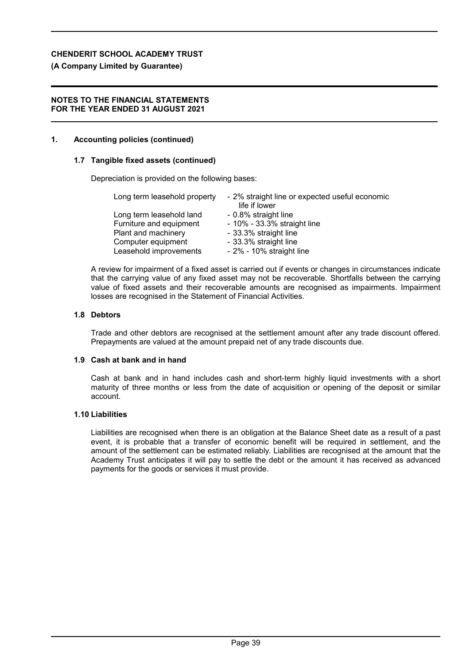# **(A Company Limited by Guarantee)**

## **NOTES TO THE FINANCIAL STATEMENTS FOR THE YEAR ENDED 31 AUGUST 2021**

# **1. Accounting policies (continued)**

# **1.7 Tangible fixed assets (continued)**

Depreciation is provided on the following bases:

| Long term leasehold property | - 2% straight line or expected useful economic<br>life if lower |
|------------------------------|-----------------------------------------------------------------|
| Long term leasehold land     | - 0.8% straight line                                            |
| Furniture and equipment      | - 10% - 33.3% straight line                                     |
| Plant and machinery          | - 33.3% straight line                                           |
| Computer equipment           | - 33.3% straight line                                           |
| Leasehold improvements       | - 2% - 10% straight line                                        |

A review for impairment of a fixed asset is carried out if events or changes in circumstances indicate that the carrying value of any fixed asset may not be recoverable. Shortfalls between the carrying value of fixed assets and their recoverable amounts are recognised as impairments. Impairment losses are recognised in the Statement of Financial Activities.

### **1.8 Debtors**

Trade and other debtors are recognised at the settlement amount after any trade discount offered. Prepayments are valued at the amount prepaid net of any trade discounts due.

### **1.9 Cash at bank and in hand**

Cash at bank and in hand includes cash and short-term highly liquid investments with a short maturity of three months or less from the date of acquisition or opening of the deposit or similar account.

### **1.10 Liabilities**

Liabilities are recognised when there is an obligation at the Balance Sheet date as a result of a past event, it is probable that a transfer of economic benefit will be required in settlement, and the amount of the settlement can be estimated reliably. Liabilities are recognised at the amount that the Academy Trust anticipates it will pay to settle the debt or the amount it has received as advanced payments for the goods or services it must provide.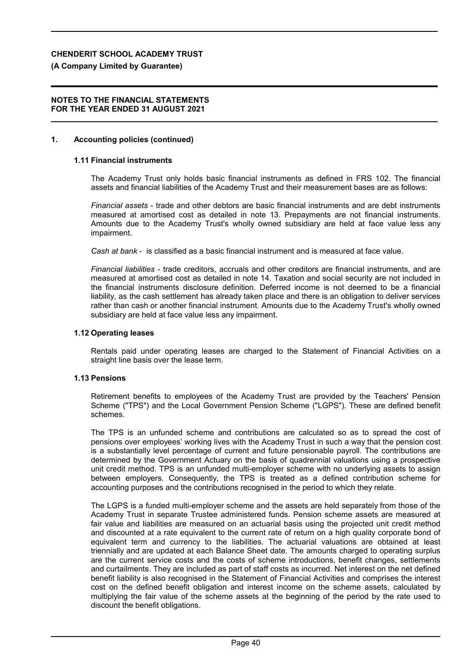### **(A Company Limited by Guarantee)**

#### **NOTES TO THE FINANCIAL STATEMENTS FOR THE YEAR ENDED 31 AUGUST 2021**

#### **1. Accounting policies (continued)**

#### **1.11 Financial instruments**

The Academy Trust only holds basic financial instruments as defined in FRS 102. The financial assets and financial liabilities of the Academy Trust and their measurement bases are as follows:

*Financial assets* - trade and other debtors are basic financial instruments and are debt instruments measured at amortised cost as detailed in note 13. Prepayments are not financial instruments. Amounts due to the Academy Trust's wholly owned subsidiary are held at face value less any impairment.

*Cash at bank* - is classified as a basic financial instrument and is measured at face value.

*Financial liabilities* - trade creditors, accruals and other creditors are financial instruments, and are measured at amortised cost as detailed in note 14. Taxation and social security are not included in the financial instruments disclosure definition. Deferred income is not deemed to be a financial liability, as the cash settlement has already taken place and there is an obligation to deliver services rather than cash or another financial instrument. Amounts due to the Academy Trust's wholly owned subsidiary are held at face value less any impairment.

#### **1.12 Operating leases**

Rentals paid under operating leases are charged to the Statement of Financial Activities on a straight line basis over the lease term.

### **1.13 Pensions**

Retirement benefits to employees of the Academy Trust are provided by the Teachers' Pension Scheme ("TPS") and the Local Government Pension Scheme ("LGPS"). These are defined benefit schemes.

The TPS is an unfunded scheme and contributions are calculated so as to spread the cost of pensions over employees' working lives with the Academy Trust in such a way that the pension cost is a substantially level percentage of current and future pensionable payroll. The contributions are determined by the Government Actuary on the basis of quadrennial valuations using a prospective unit credit method. TPS is an unfunded multi-employer scheme with no underlying assets to assign between employers. Consequently, the TPS is treated as a defined contribution scheme for accounting purposes and the contributions recognised in the period to which they relate.

The LGPS is a funded multi-employer scheme and the assets are held separately from those of the Academy Trust in separate Trustee administered funds. Pension scheme assets are measured at fair value and liabilities are measured on an actuarial basis using the projected unit credit method and discounted at a rate equivalent to the current rate of return on a high quality corporate bond of equivalent term and currency to the liabilities. The actuarial valuations are obtained at least triennially and are updated at each Balance Sheet date. The amounts charged to operating surplus are the current service costs and the costs of scheme introductions, benefit changes, settlements and curtailments. They are included as part of staff costs as incurred. Net interest on the net defined benefit liability is also recognised in the Statement of Financial Activities and comprises the interest cost on the defined benefit obligation and interest income on the scheme assets, calculated by multiplying the fair value of the scheme assets at the beginning of the period by the rate used to discount the benefit obligations.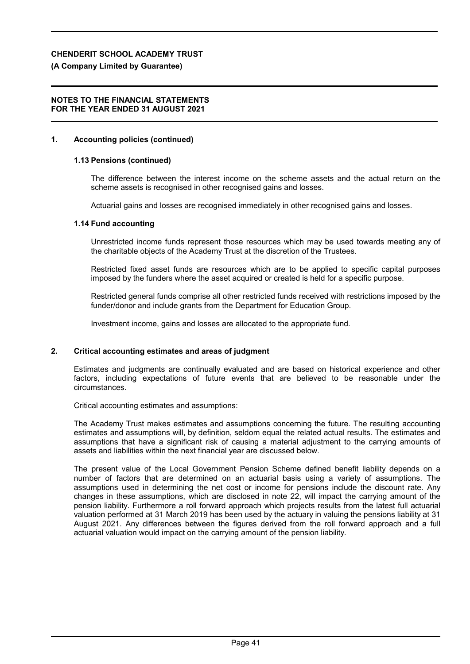# **(A Company Limited by Guarantee)**

### **NOTES TO THE FINANCIAL STATEMENTS FOR THE YEAR ENDED 31 AUGUST 2021**

# **1. Accounting policies (continued)**

# **1.13 Pensions (continued)**

The difference between the interest income on the scheme assets and the actual return on the scheme assets is recognised in other recognised gains and losses.

Actuarial gains and losses are recognised immediately in other recognised gains and losses.

# **1.14 Fund accounting**

Unrestricted income funds represent those resources which may be used towards meeting any of the charitable objects of the Academy Trust at the discretion of the Trustees.

Restricted fixed asset funds are resources which are to be applied to specific capital purposes imposed by the funders where the asset acquired or created is held for a specific purpose.

Restricted general funds comprise all other restricted funds received with restrictions imposed by the funder/donor and include grants from the Department for Education Group.

Investment income, gains and losses are allocated to the appropriate fund.

# **2. Critical accounting estimates and areas of judgment**

Estimates and judgments are continually evaluated and are based on historical experience and other factors, including expectations of future events that are believed to be reasonable under the circumstances.

Critical accounting estimates and assumptions:

The Academy Trust makes estimates and assumptions concerning the future. The resulting accounting estimates and assumptions will, by definition, seldom equal the related actual results. The estimates and assumptions that have a significant risk of causing a material adjustment to the carrying amounts of assets and liabilities within the next financial year are discussed below.

The present value of the Local Government Pension Scheme defined benefit liability depends on a number of factors that are determined on an actuarial basis using a variety of assumptions. The assumptions used in determining the net cost or income for pensions include the discount rate. Any changes in these assumptions, which are disclosed in note 22, will impact the carrying amount of the pension liability. Furthermore a roll forward approach which projects results from the latest full actuarial valuation performed at 31 March 2019 has been used by the actuary in valuing the pensions liability at 31 August 2021. Any differences between the figures derived from the roll forward approach and a full actuarial valuation would impact on the carrying amount of the pension liability.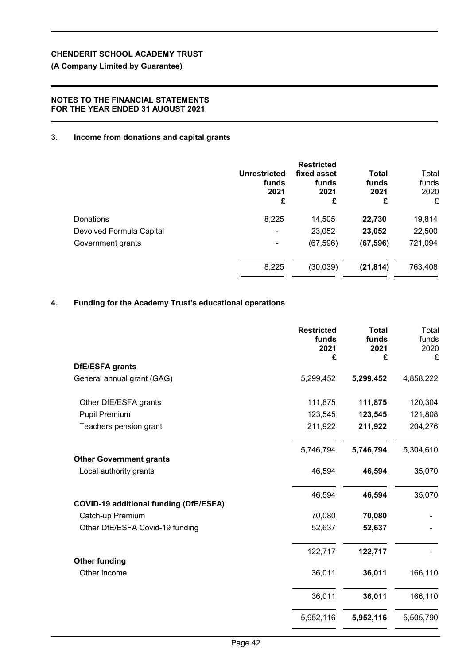# **(A Company Limited by Guarantee)**

# **NOTES TO THE FINANCIAL STATEMENTS FOR THE YEAR ENDED 31 AUGUST 2021**

# **3. Income from donations and capital grants**

| <b>Unrestricted</b><br>funds<br>2021<br>£ | <b>Restricted</b><br>fixed asset<br>funds<br>2021<br>£ | <b>Total</b><br>funds<br>2021<br>£ | Total<br>funds<br>2020<br>£ |
|-------------------------------------------|--------------------------------------------------------|------------------------------------|-----------------------------|
| 8,225                                     | 14,505                                                 | 22,730                             | 19,814                      |
| $\overline{\phantom{0}}$                  | 23,052                                                 | 23,052                             | 22,500                      |
| ۰                                         | (67, 596)                                              | (67, 596)                          | 721,094                     |
| 8,225                                     | (30, 039)                                              | (21, 814)                          | 763,408                     |
|                                           |                                                        |                                    |                             |

# **4. Funding for the Academy Trust's educational operations**

|                                                          | <b>Restricted</b><br>funds<br>2021<br>£ | <b>Total</b><br>funds<br>2021<br>£ | Total<br>funds<br>2020<br>£ |
|----------------------------------------------------------|-----------------------------------------|------------------------------------|-----------------------------|
| <b>DfE/ESFA grants</b>                                   |                                         |                                    |                             |
| General annual grant (GAG)                               | 5,299,452                               | 5,299,452                          | 4,858,222                   |
| Other DfE/ESFA grants                                    | 111,875                                 | 111,875                            | 120,304                     |
| <b>Pupil Premium</b>                                     | 123,545                                 | 123,545                            | 121,808                     |
| Teachers pension grant                                   | 211,922                                 | 211,922                            | 204,276                     |
|                                                          | 5,746,794                               | 5,746,794                          | 5,304,610                   |
| <b>Other Government grants</b><br>Local authority grants | 46,594                                  | 46,594                             | 35,070                      |
| <b>COVID-19 additional funding (DfE/ESFA)</b>            | 46,594                                  | 46,594                             | 35,070                      |
| Catch-up Premium                                         | 70,080                                  | 70,080                             |                             |
| Other DfE/ESFA Covid-19 funding                          | 52,637                                  | 52,637                             |                             |
|                                                          | 122,717                                 | 122,717                            |                             |
| <b>Other funding</b><br>Other income                     | 36,011                                  | 36,011                             | 166,110                     |
|                                                          | 36,011                                  | 36,011                             | 166,110                     |
|                                                          | 5,952,116                               | 5,952,116                          | 5,505,790                   |
|                                                          |                                         |                                    |                             |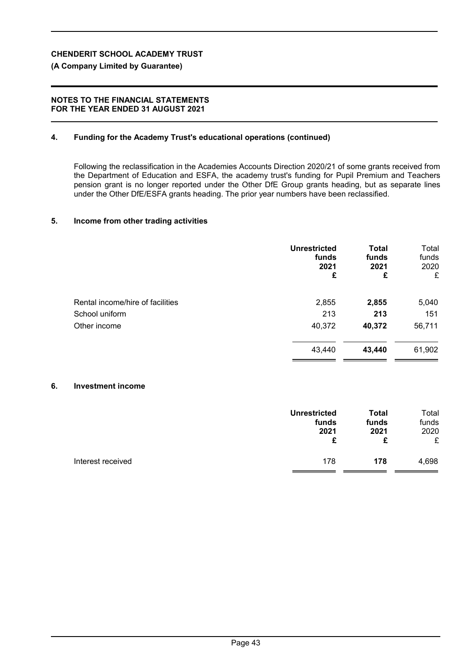# **(A Company Limited by Guarantee)**

## **NOTES TO THE FINANCIAL STATEMENTS FOR THE YEAR ENDED 31 AUGUST 2021**

# **4. Funding for the Academy Trust's educational operations (continued)**

Following the reclassification in the Academies Accounts Direction 2020/21 of some grants received from the Department of Education and ESFA, the academy trust's funding for Pupil Premium and Teachers pension grant is no longer reported under the Other DfE Group grants heading, but as separate lines under the Other DfE/ESFA grants heading. The prior year numbers have been reclassified.

# **5. Income from other trading activities**

|                                  | <b>Unrestricted</b><br>funds<br>2021<br>£ | <b>Total</b><br>funds<br>2021<br>£ | Total<br>funds<br>2020<br>£ |
|----------------------------------|-------------------------------------------|------------------------------------|-----------------------------|
| Rental income/hire of facilities | 2,855                                     | 2,855                              | 5,040                       |
| School uniform                   | 213                                       | 213                                | 151                         |
| Other income                     | 40,372                                    | 40,372                             | 56,711                      |
|                                  | 43,440                                    | 43,440                             | 61,902                      |

# **6. Investment income**

|                   | <b>Unrestricted</b> | Total | Total |
|-------------------|---------------------|-------|-------|
|                   | funds               | funds | funds |
|                   | 2021                | 2021  | 2020  |
|                   | £                   | £     | £     |
| Interest received | 178                 | 178   | 4,698 |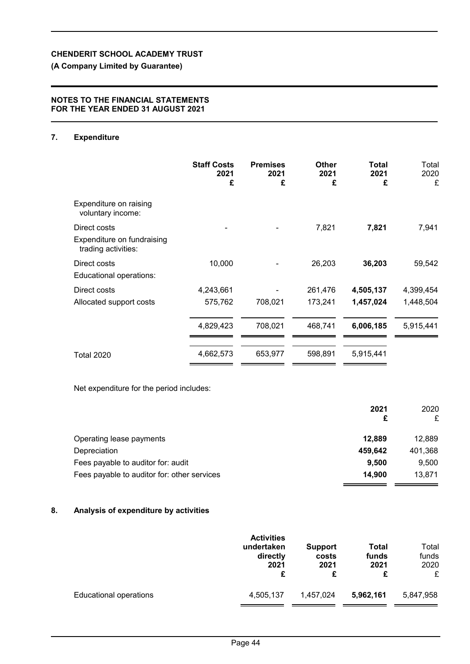# **(A Company Limited by Guarantee)**

## **NOTES TO THE FINANCIAL STATEMENTS FOR THE YEAR ENDED 31 AUGUST 2021**

# **7. Expenditure**

|                                                                   | <b>Staff Costs</b><br>2021<br>£ | <b>Premises</b><br>2021<br>£ | Other<br>2021<br>£ | Total<br>2021<br>£ | Total<br>2020<br>£ |
|-------------------------------------------------------------------|---------------------------------|------------------------------|--------------------|--------------------|--------------------|
| Expenditure on raising<br>voluntary income:                       |                                 |                              |                    |                    |                    |
| Direct costs<br>Expenditure on fundraising<br>trading activities: |                                 |                              | 7,821              | 7,821              | 7,941              |
| Direct costs<br>Educational operations:                           | 10,000                          |                              | 26,203             | 36,203             | 59,542             |
| Direct costs                                                      | 4,243,661                       |                              | 261,476            | 4,505,137          | 4,399,454          |
| Allocated support costs                                           | 575,762                         | 708,021                      | 173,241            | 1,457,024          | 1,448,504          |
|                                                                   | 4,829,423                       | 708,021                      | 468,741            | 6,006,185          | 5,915,441          |
| <b>Total 2020</b>                                                 | 4,662,573                       | 653,977                      | 598,891            | 5,915,441          |                    |

Net expenditure for the period includes:

|                                             | 2021<br>£ | 2020<br>£ |
|---------------------------------------------|-----------|-----------|
| Operating lease payments                    | 12.889    | 12.889    |
| Depreciation                                | 459,642   | 401,368   |
| Fees payable to auditor for: audit          | 9.500     | 9,500     |
| Fees payable to auditor for: other services | 14,900    | 13,871    |

## **8. Analysis of expenditure by activities**

|                               | <b>Activities</b><br>undertaken<br>directly<br>2021<br>£ | <b>Support</b><br>costs<br>2021<br>£ | <b>Total</b><br>funds<br>2021<br>£ | Total<br>funds<br>2020<br>£ |
|-------------------------------|----------------------------------------------------------|--------------------------------------|------------------------------------|-----------------------------|
| <b>Educational operations</b> | 4,505,137                                                | 1,457,024                            | 5,962,161                          | 5,847,958                   |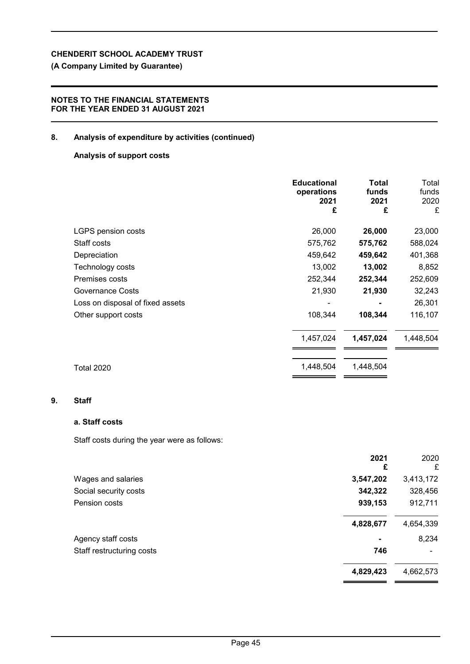# **(A Company Limited by Guarantee)**

## **NOTES TO THE FINANCIAL STATEMENTS FOR THE YEAR ENDED 31 AUGUST 2021**

# **8. Analysis of expenditure by activities (continued)**

### **Analysis of support costs**

|                                  | <b>Educational</b><br>operations<br>2021<br>£ | Total<br>funds<br>2021<br>£ | Total<br>funds<br>2020<br>£ |
|----------------------------------|-----------------------------------------------|-----------------------------|-----------------------------|
| <b>LGPS pension costs</b>        | 26,000                                        | 26,000                      | 23,000                      |
| Staff costs                      | 575,762                                       | 575,762                     | 588,024                     |
| Depreciation                     | 459,642                                       | 459,642                     | 401,368                     |
| Technology costs                 | 13,002                                        | 13,002                      | 8,852                       |
| Premises costs                   | 252,344                                       | 252,344                     | 252,609                     |
| <b>Governance Costs</b>          | 21,930                                        | 21,930                      | 32,243                      |
| Loss on disposal of fixed assets |                                               |                             | 26,301                      |
| Other support costs              | 108,344                                       | 108,344                     | 116,107                     |
|                                  | 1,457,024                                     | 1,457,024                   | 1,448,504                   |
| <b>Total 2020</b>                | 1,448,504                                     | 1,448,504                   |                             |

### **9. Staff**

## **a. Staff costs**

Staff costs during the year were as follows:

|                           | 2021<br>£ | 2020<br>£ |
|---------------------------|-----------|-----------|
| Wages and salaries        | 3,547,202 | 3,413,172 |
| Social security costs     | 342,322   | 328,456   |
| Pension costs             | 939,153   | 912,711   |
|                           | 4,828,677 | 4,654,339 |
| Agency staff costs        | ۰         | 8,234     |
| Staff restructuring costs | 746       |           |
|                           | 4,829,423 | 4,662,573 |
|                           |           |           |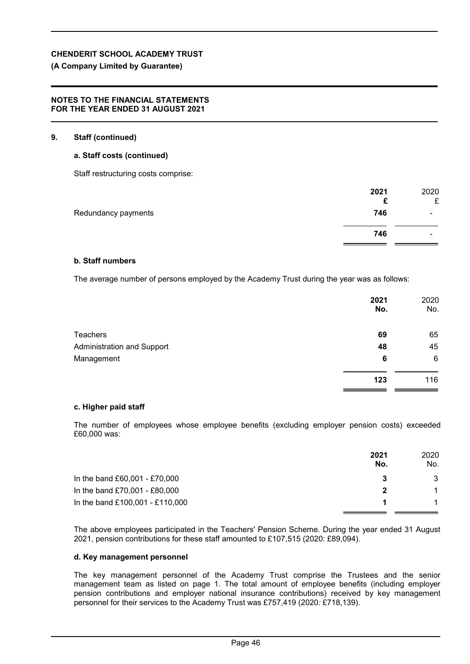# **(A Company Limited by Guarantee)**

## **NOTES TO THE FINANCIAL STATEMENTS FOR THE YEAR ENDED 31 AUGUST 2021**

# **9. Staff (continued)**

# **a. Staff costs (continued)**

Staff restructuring costs comprise:

|                     | 2021<br>£ | 2020<br>£                |
|---------------------|-----------|--------------------------|
| Redundancy payments | 746       | -                        |
|                     | 746       | $\overline{\phantom{a}}$ |

## **b. Staff numbers**

The average number of persons employed by the Academy Trust during the year was as follows:

|                                   | 2021<br>No. | 2020<br>No. |
|-----------------------------------|-------------|-------------|
| <b>Teachers</b>                   | 69          | 65          |
| <b>Administration and Support</b> | 48          | 45          |
| Management                        | 6           | 6           |
|                                   | 123         | 116         |

### **c. Higher paid staff**

The number of employees whose employee benefits (excluding employer pension costs) exceeded £60,000 was:

|                                 | 2021<br>No. | 2020<br>No. |
|---------------------------------|-------------|-------------|
| In the band £60,001 - £70,000   |             | 3           |
| In the band £70,001 - £80,000   | 2           |             |
| In the band £100,001 - £110,000 |             |             |

The above employees participated in the Teachers' Pension Scheme. During the year ended 31 August 2021, pension contributions for these staff amounted to £107,515 (2020: £89,094).

## **d. Key management personnel**

The key management personnel of the Academy Trust comprise the Trustees and the senior management team as listed on page 1. The total amount of employee benefits (including employer pension contributions and employer national insurance contributions) received by key management personnel for their services to the Academy Trust was £757,419 (2020*:* £718,139).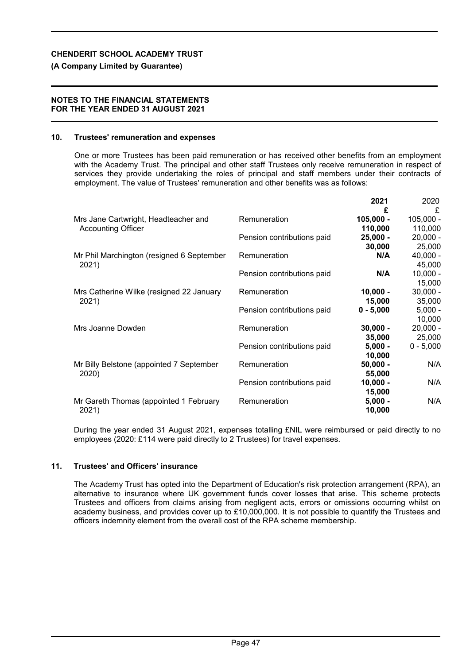# **(A Company Limited by Guarantee)**

## **NOTES TO THE FINANCIAL STATEMENTS FOR THE YEAR ENDED 31 AUGUST 2021**

# **10. Trustees' remuneration and expenses**

One or more Trustees has been paid remuneration or has received other benefits from an employment with the Academy Trust. The principal and other staff Trustees only receive remuneration in respect of services they provide undertaking the roles of principal and staff members under their contracts of employment. The value of Trustees' remuneration and other benefits was as follows:

|                                           |                            | 2021        | 2020        |
|-------------------------------------------|----------------------------|-------------|-------------|
|                                           |                            | £           | £           |
| Mrs Jane Cartwright, Headteacher and      | Remuneration               | $105,000 -$ | $105,000 -$ |
| <b>Accounting Officer</b>                 |                            | 110,000     | 110,000     |
|                                           | Pension contributions paid | $25,000 -$  | $20,000 -$  |
|                                           |                            | 30,000      | 25,000      |
| Mr Phil Marchington (resigned 6 September | Remuneration               | N/A         | $40,000 -$  |
| 2021)                                     |                            |             | 45,000      |
|                                           | Pension contributions paid | N/A         | $10,000 -$  |
|                                           |                            |             | 15,000      |
| Mrs Catherine Wilke (resigned 22 January  | Remuneration               | $10,000 -$  | $30,000 -$  |
| 2021)                                     |                            | 15,000      | 35,000      |
|                                           | Pension contributions paid | $0 - 5,000$ | $5,000 -$   |
|                                           |                            |             | 10,000      |
| Mrs Joanne Dowden                         | Remuneration               | $30,000 -$  | $20,000 -$  |
|                                           |                            | 35,000      | 25,000      |
|                                           | Pension contributions paid | $5,000 -$   | $0 - 5,000$ |
|                                           |                            | 10,000      |             |
| Mr Billy Belstone (appointed 7 September  | Remuneration               | $50,000 -$  | N/A         |
| 2020)                                     |                            | 55,000      |             |
|                                           | Pension contributions paid | $10,000 -$  | N/A         |
|                                           |                            | 15,000      |             |
| Mr Gareth Thomas (appointed 1 February    | Remuneration               | $5,000 -$   | N/A         |
| 2021)                                     |                            | 10,000      |             |

During the year ended 31 August 2021, expenses totalling £NIL were reimbursed or paid directly to no employees (2020: £114 were paid directly to 2 Trustees) for travel expenses.

# **11. Trustees' and Officers' insurance**

The Academy Trust has opted into the Department of Education's risk protection arrangement (RPA), an alternative to insurance where UK government funds cover losses that arise. This scheme protects Trustees and officers from claims arising from negligent acts, errors or omissions occurring whilst on academy business, and provides cover up to £10,000,000. It is not possible to quantify the Trustees and officers indemnity element from the overall cost of the RPA scheme membership.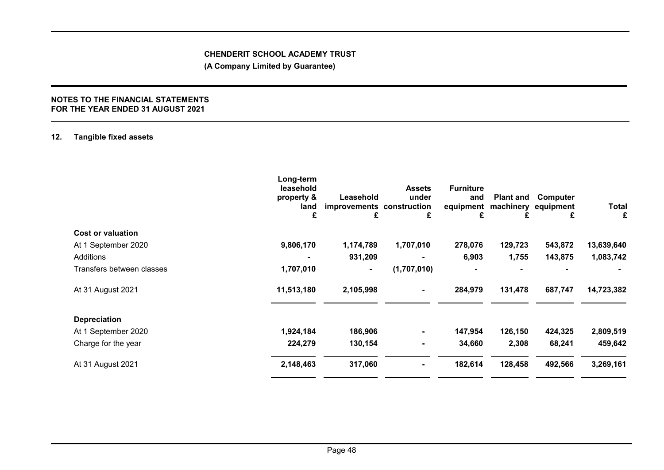**(A Company Limited by Guarantee)**

#### **NOTES TO THE FINANCIAL STATEMENTS FOR THE YEAR ENDED 31 AUGUST 2021**

# **12. Tangible fixed assets**

| Long-term<br>leasehold<br>property &<br>land<br>£ | £         | <b>Assets</b><br>under<br>£ | <b>Furniture</b><br>and<br>£ |         | Computer<br>equipment<br>£ | Total<br>£                    |
|---------------------------------------------------|-----------|-----------------------------|------------------------------|---------|----------------------------|-------------------------------|
|                                                   |           |                             |                              |         |                            |                               |
| 9,806,170                                         | 1,174,789 | 1,707,010                   | 278,076                      | 129,723 | 543,872                    | 13,639,640                    |
|                                                   | 931,209   | $\blacksquare$              | 6,903                        | 1,755   | 143,875                    | 1,083,742                     |
| 1,707,010                                         | ۰.        | (1,707,010)                 |                              |         |                            |                               |
| 11,513,180                                        | 2,105,998 | $\blacksquare$              | 284,979                      | 131,478 | 687,747                    | 14,723,382                    |
|                                                   |           |                             |                              |         |                            |                               |
| 1,924,184                                         | 186,906   | ۰.                          | 147,954                      | 126,150 | 424,325                    | 2,809,519                     |
| 224,279                                           | 130,154   | ۰.                          | 34,660                       | 2,308   | 68,241                     | 459,642                       |
| 2,148,463                                         | 317,060   |                             | 182,614                      | 128,458 | 492,566                    | 3,269,161                     |
|                                                   |           | Leasehold                   | improvements construction    |         | equipment                  | <b>Plant and</b><br>machinery |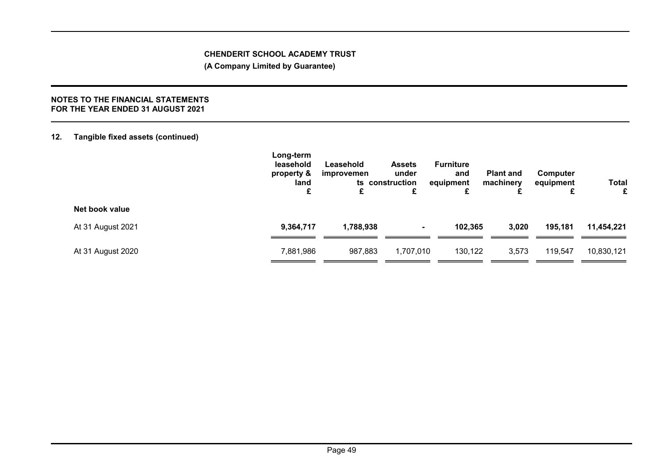**(A Company Limited by Guarantee)**

### **NOTES TO THE FINANCIAL STATEMENTS FOR THE YEAR ENDED 31 AUGUST 2021**

# **12. Tangible fixed assets (continued)**

|                   | Long-term<br>leasehold<br>property &<br>land<br>£ | Leasehold<br>improvemen<br>£ | <b>Assets</b><br>under<br>ts construction<br>£ | <b>Furniture</b><br>and<br>equipment<br>£ | <b>Plant and</b><br>machinery | Computer<br>equipment | <b>Total</b><br>£ |
|-------------------|---------------------------------------------------|------------------------------|------------------------------------------------|-------------------------------------------|-------------------------------|-----------------------|-------------------|
| Net book value    |                                                   |                              |                                                |                                           |                               |                       |                   |
| At 31 August 2021 | 9,364,717                                         | 1,788,938                    | $\sim$                                         | 102,365                                   | 3,020                         | 195,181               | 11,454,221        |
| At 31 August 2020 | 7,881,986                                         | 987,883                      | 1,707,010                                      | 130,122                                   | 3,573                         | 119,547               | 10,830,121        |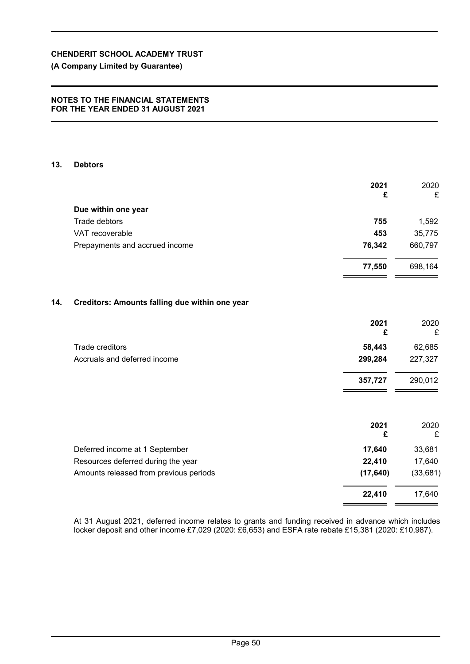# **(A Company Limited by Guarantee)**

#### **NOTES TO THE FINANCIAL STATEMENTS FOR THE YEAR ENDED 31 AUGUST 2021**

### **13. Debtors**

|     |                                                | 2021<br>£        | 2020<br>£        |
|-----|------------------------------------------------|------------------|------------------|
|     | Due within one year                            |                  |                  |
|     | Trade debtors                                  | 755              | 1,592            |
|     | VAT recoverable                                | 453              | 35,775           |
|     | Prepayments and accrued income                 | 76,342           | 660,797          |
|     |                                                | 77,550           | 698,164          |
| 14. | Creditors: Amounts falling due within one year |                  |                  |
|     |                                                | 2021<br>£        | 2020<br>£        |
|     | Trade creditors                                | 58,443           | 62,685           |
|     | Accruals and deferred income                   | 299,284          | 227,327          |
|     |                                                | 357,727          | 290,012          |
|     |                                                | 2021<br>£        | 2020<br>£        |
|     |                                                |                  |                  |
|     | Deferred income at 1 September                 | 17,640<br>22,410 | 33,681<br>17,640 |
|     | Resources deferred during the year             |                  |                  |
|     | Amounts released from previous periods         | (17, 640)        | (33, 681)        |
|     |                                                | 22,410           | 17,640           |

At 31 August 2021, deferred income relates to grants and funding received in advance which includes locker deposit and other income £7,029 (2020: £6,653) and ESFA rate rebate £15,381 (2020: £10,987).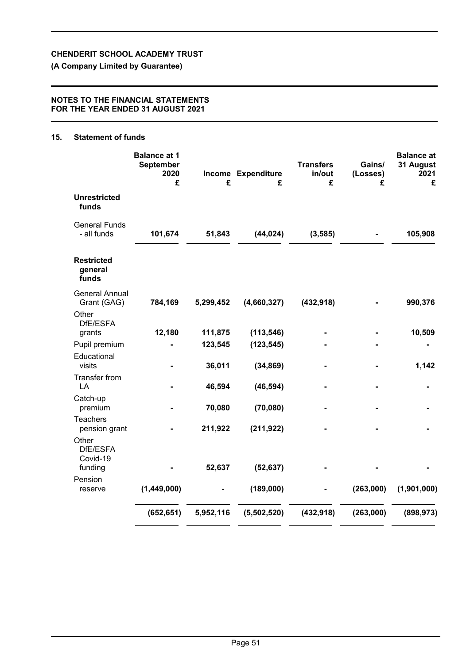**(A Company Limited by Guarantee)**

### **NOTES TO THE FINANCIAL STATEMENTS FOR THE YEAR ENDED 31 AUGUST 2021**

# **15. Statement of funds**

|                                          | <b>Balance at 1</b><br>September<br>2020<br>£ | £         | Income Expenditure<br>£ | <b>Transfers</b><br>in/out<br>£ | Gains/<br>(Losses)<br>£ | <b>Balance</b> at<br>31 August<br>2021<br>£ |
|------------------------------------------|-----------------------------------------------|-----------|-------------------------|---------------------------------|-------------------------|---------------------------------------------|
| <b>Unrestricted</b><br>funds             |                                               |           |                         |                                 |                         |                                             |
| <b>General Funds</b><br>- all funds      | 101,674                                       | 51,843    | (44, 024)               | (3, 585)                        |                         | 105,908                                     |
| <b>Restricted</b><br>general<br>funds    |                                               |           |                         |                                 |                         |                                             |
| <b>General Annual</b><br>Grant (GAG)     | 784,169                                       | 5,299,452 | (4,660,327)             | (432, 918)                      |                         | 990,376                                     |
| Other<br>DfE/ESFA<br>grants              | 12,180                                        | 111,875   | (113, 546)              |                                 |                         | 10,509                                      |
| Pupil premium                            |                                               | 123,545   | (123, 545)              |                                 |                         |                                             |
| Educational<br>visits                    |                                               | 36,011    | (34, 869)               |                                 |                         | 1,142                                       |
| <b>Transfer from</b><br>LA               |                                               | 46,594    | (46, 594)               |                                 |                         |                                             |
| Catch-up<br>premium                      |                                               | 70,080    | (70,080)                |                                 |                         |                                             |
| <b>Teachers</b><br>pension grant         |                                               | 211,922   | (211, 922)              |                                 |                         |                                             |
| Other<br>DfE/ESFA<br>Covid-19<br>funding |                                               | 52,637    | (52, 637)               |                                 |                         |                                             |
| Pension                                  |                                               |           |                         |                                 |                         |                                             |
| reserve                                  | (1,449,000)                                   |           | (189,000)               |                                 | (263,000)               | (1,901,000)                                 |
|                                          | (652, 651)                                    | 5,952,116 | (5,502,520)             | (432, 918)                      | (263,000)               | (898, 973)                                  |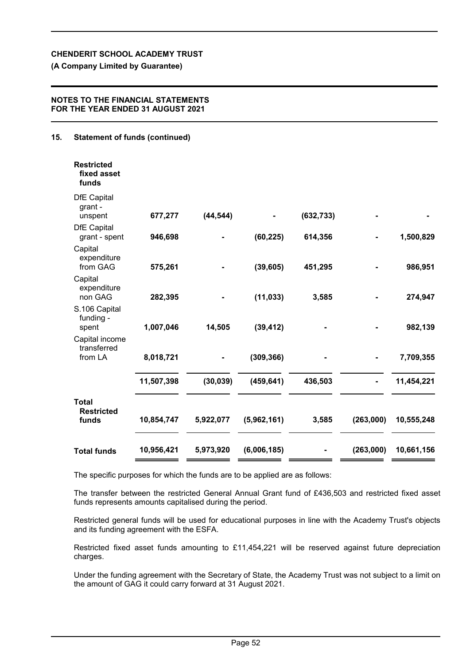# **(A Company Limited by Guarantee)**

## **NOTES TO THE FINANCIAL STATEMENTS FOR THE YEAR ENDED 31 AUGUST 2021**

# **15. Statement of funds (continued)**

| <b>Restricted</b><br>fixed asset<br>funds  |            |           |             |            |           |            |
|--------------------------------------------|------------|-----------|-------------|------------|-----------|------------|
| <b>DfE Capital</b><br>grant -<br>unspent   | 677,277    | (44, 544) |             | (632, 733) |           |            |
| <b>DfE Capital</b><br>grant - spent        | 946,698    |           | (60, 225)   | 614,356    |           | 1,500,829  |
| Capital<br>expenditure<br>from GAG         | 575,261    |           | (39, 605)   | 451,295    |           | 986,951    |
| Capital<br>expenditure<br>non GAG          | 282,395    |           | (11, 033)   | 3,585      |           | 274,947    |
| S.106 Capital<br>funding -<br>spent        | 1,007,046  | 14,505    | (39, 412)   |            |           | 982,139    |
| Capital income<br>transferred<br>from LA   | 8,018,721  |           | (309, 366)  |            |           | 7,709,355  |
|                                            | 11,507,398 | (30, 039) | (459, 641)  | 436,503    |           | 11,454,221 |
| <b>Total</b><br><b>Restricted</b><br>funds | 10,854,747 | 5,922,077 | (5,962,161) | 3,585      | (263,000) | 10,555,248 |
| <b>Total funds</b>                         | 10,956,421 | 5,973,920 | (6,006,185) |            | (263,000) | 10,661,156 |

The specific purposes for which the funds are to be applied are as follows:

The transfer between the restricted General Annual Grant fund of £436,503 and restricted fixed asset funds represents amounts capitalised during the period.

Restricted general funds will be used for educational purposes in line with the Academy Trust's objects and its funding agreement with the ESFA.

Restricted fixed asset funds amounting to £11,454,221 will be reserved against future depreciation charges.

Under the funding agreement with the Secretary of State, the Academy Trust was not subject to a limit on the amount of GAG it could carry forward at 31 August 2021.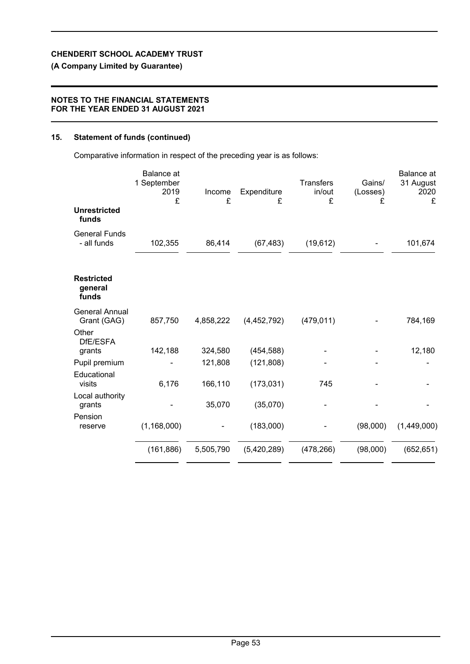# **(A Company Limited by Guarantee)**

### **NOTES TO THE FINANCIAL STATEMENTS FOR THE YEAR ENDED 31 AUGUST 2021**

# **15. Statement of funds (continued)**

Comparative information in respect of the preceding year is as follows:

|                                       | <b>Balance</b> at<br>1 September<br>2019<br>£ | Income<br>£ | Expenditure<br>£ | <b>Transfers</b><br>in/out<br>£ | Gains/<br>(Losses)<br>£ | <b>Balance</b> at<br>31 August<br>2020<br>£ |
|---------------------------------------|-----------------------------------------------|-------------|------------------|---------------------------------|-------------------------|---------------------------------------------|
| <b>Unrestricted</b><br>funds          |                                               |             |                  |                                 |                         |                                             |
| <b>General Funds</b><br>- all funds   | 102,355                                       | 86,414      | (67, 483)        | (19, 612)                       |                         | 101,674                                     |
| <b>Restricted</b><br>general<br>funds |                                               |             |                  |                                 |                         |                                             |
| <b>General Annual</b><br>Grant (GAG)  | 857,750                                       | 4,858,222   | (4,452,792)      | (479, 011)                      |                         | 784,169                                     |
| Other<br>DfE/ESFA                     |                                               |             |                  |                                 |                         |                                             |
| grants                                | 142,188                                       | 324,580     | (454, 588)       |                                 |                         | 12,180                                      |
| Pupil premium<br>Educational          |                                               | 121,808     | (121, 808)       |                                 |                         |                                             |
| visits                                | 6,176                                         | 166,110     | (173, 031)       | 745                             |                         |                                             |
| Local authority<br>grants             |                                               | 35,070      | (35,070)         |                                 |                         |                                             |
| Pension<br>reserve                    | (1, 168, 000)                                 |             | (183,000)        |                                 | (98,000)                | (1,449,000)                                 |
|                                       | (161, 886)                                    | 5,505,790   | (5,420,289)      | (478, 266)                      | (98,000)                | (652, 651)                                  |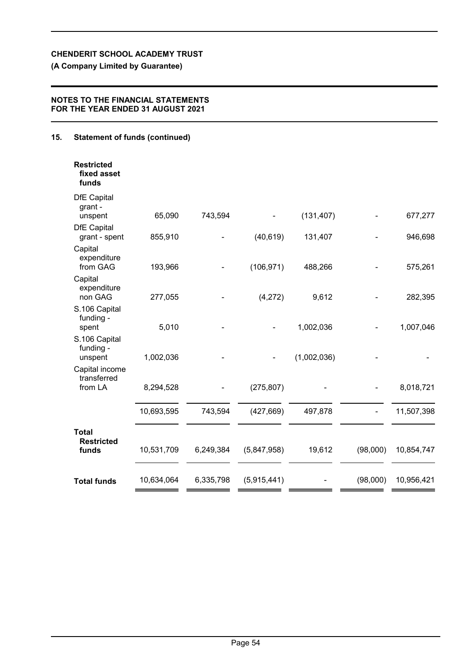# **(A Company Limited by Guarantee)**

## **NOTES TO THE FINANCIAL STATEMENTS FOR THE YEAR ENDED 31 AUGUST 2021**

# **15. Statement of funds (continued)**

| <b>Restricted</b><br>fixed asset<br>funds  |            |           |             |             |          |            |
|--------------------------------------------|------------|-----------|-------------|-------------|----------|------------|
| <b>DfE Capital</b><br>grant -<br>unspent   | 65,090     | 743,594   |             | (131, 407)  |          | 677,277    |
| <b>DfE Capital</b><br>grant - spent        | 855,910    |           | (40, 619)   | 131,407     |          | 946,698    |
| Capital<br>expenditure<br>from GAG         | 193,966    |           | (106, 971)  | 488,266     |          | 575,261    |
| Capital<br>expenditure<br>non GAG          | 277,055    |           | (4,272)     | 9,612       |          | 282,395    |
| S.106 Capital<br>funding -<br>spent        | 5,010      |           |             | 1,002,036   |          | 1,007,046  |
| S.106 Capital<br>funding -<br>unspent      | 1,002,036  |           |             | (1,002,036) |          |            |
| Capital income<br>transferred              |            |           |             |             |          |            |
| from LA                                    | 8,294,528  |           | (275, 807)  |             |          | 8,018,721  |
|                                            | 10,693,595 | 743,594   | (427, 669)  | 497,878     |          | 11,507,398 |
| <b>Total</b><br><b>Restricted</b><br>funds | 10,531,709 | 6,249,384 | (5,847,958) | 19,612      | (98,000) | 10,854,747 |
| <b>Total funds</b>                         | 10,634,064 | 6,335,798 | (5,915,441) |             | (98,000) | 10,956,421 |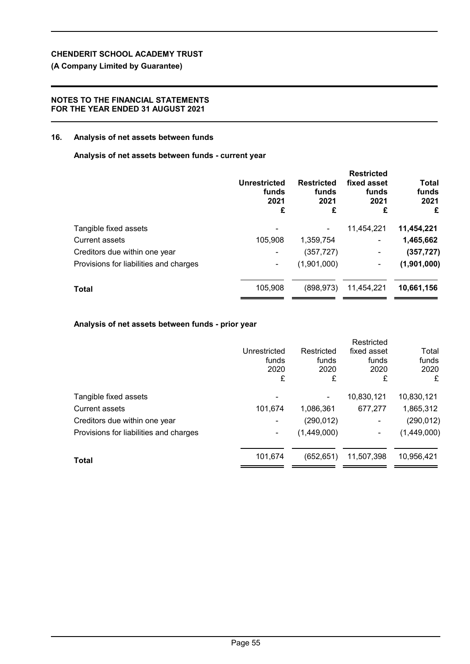# **(A Company Limited by Guarantee)**

## **NOTES TO THE FINANCIAL STATEMENTS FOR THE YEAR ENDED 31 AUGUST 2021**

### **16. Analysis of net assets between funds**

### **Analysis of net assets between funds - current year**

|                                        | Unrestricted<br>funds<br>2021<br>£ | <b>Restricted</b><br>funds<br>2021<br>£ | <b>Restricted</b><br>fixed asset<br>funds<br>2021<br>£ | <b>Total</b><br>funds<br>2021<br>£ |
|----------------------------------------|------------------------------------|-----------------------------------------|--------------------------------------------------------|------------------------------------|
| Tangible fixed assets                  |                                    |                                         | 11,454,221                                             | 11,454,221                         |
| <b>Current assets</b>                  | 105,908                            | 1,359,754                               | ۰                                                      | 1,465,662                          |
| Creditors due within one year          | ۰                                  | (357, 727)                              | ۰                                                      | (357, 727)                         |
| Provisions for liabilities and charges | ۰                                  | (1,901,000)                             | ۰                                                      | (1,901,000)                        |
| Total                                  | 105,908                            | (898, 973)                              | 11,454,221                                             | 10,661,156                         |
|                                        |                                    |                                         |                                                        |                                    |

# **Analysis of net assets between funds - prior year**

|                                        |                |             | Restricted  |             |
|----------------------------------------|----------------|-------------|-------------|-------------|
|                                        | Unrestricted   | Restricted  | fixed asset | Total       |
|                                        | funds          | funds       | funds       | funds       |
|                                        | 2020           | 2020        | 2020        | 2020        |
|                                        | £              | £           | £           | £           |
| Tangible fixed assets                  | -              |             | 10,830,121  | 10,830,121  |
| <b>Current assets</b>                  | 101,674        | 1,086,361   | 677,277     | 1,865,312   |
| Creditors due within one year          |                | (290, 012)  | -           | (290, 012)  |
| Provisions for liabilities and charges | $\blacksquare$ | (1,449,000) |             | (1,449,000) |
| Total                                  | 101,674        | (652, 651)  | 11,507,398  | 10,956,421  |
|                                        |                |             |             |             |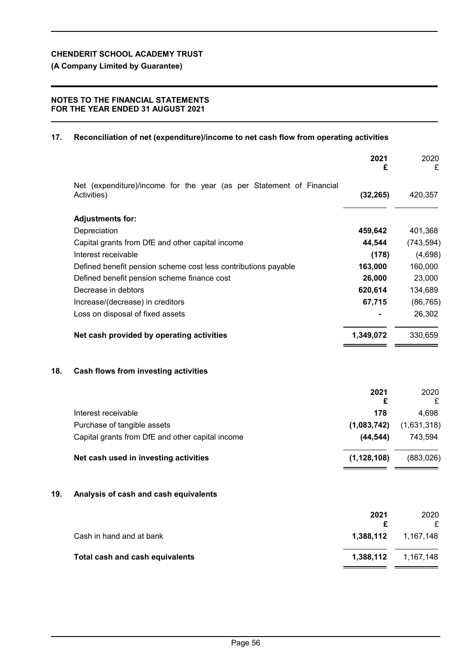**(A Company Limited by Guarantee)**

## **NOTES TO THE FINANCIAL STATEMENTS FOR THE YEAR ENDED 31 AUGUST 2021**

## **17. Reconciliation of net (expenditure)/income to net cash flow from operating activities**

|     |                                                                                     | 2021<br>£     | 2020<br>£   |
|-----|-------------------------------------------------------------------------------------|---------------|-------------|
|     | Net (expenditure)/income for the year (as per Statement of Financial<br>Activities) | (32, 265)     | 420,357     |
|     | <b>Adjustments for:</b>                                                             |               |             |
|     | Depreciation                                                                        | 459,642       | 401,368     |
|     | Capital grants from DfE and other capital income                                    | 44,544        | (743, 594)  |
|     | Interest receivable                                                                 | (178)         | (4,698)     |
|     | Defined benefit pension scheme cost less contributions payable                      | 163,000       | 160,000     |
|     | Defined benefit pension scheme finance cost                                         | 26,000        | 23,000      |
|     | Decrease in debtors                                                                 | 620,614       | 134,689     |
|     | Increase/(decrease) in creditors                                                    | 67,715        | (86, 765)   |
|     | Loss on disposal of fixed assets                                                    |               | 26,302      |
|     | Net cash provided by operating activities                                           | 1,349,072     | 330,659     |
| 18. | Cash flows from investing activities                                                |               |             |
|     |                                                                                     | 2021          | 2020        |
|     |                                                                                     | £             | £           |
|     | Interest receivable                                                                 | 178           | 4,698       |
|     | Purchase of tangible assets                                                         | (1,083,742)   | (1,631,318) |
|     | Capital grants from DfE and other capital income                                    | (44, 544)     | 743,594     |
|     | Net cash used in investing activities                                               | (1, 128, 108) | (883, 026)  |
| 19. | Analysis of cash and cash equivalents                                               |               |             |
|     |                                                                                     |               |             |
|     |                                                                                     | 2021<br>£     | 2020<br>£   |
|     | Cash in hand and at bank                                                            | 1,388,112     | 1,167,148   |
|     | <b>Total cash and cash equivalents</b>                                              | 1,388,112     | 1,167,148   |
|     |                                                                                     |               |             |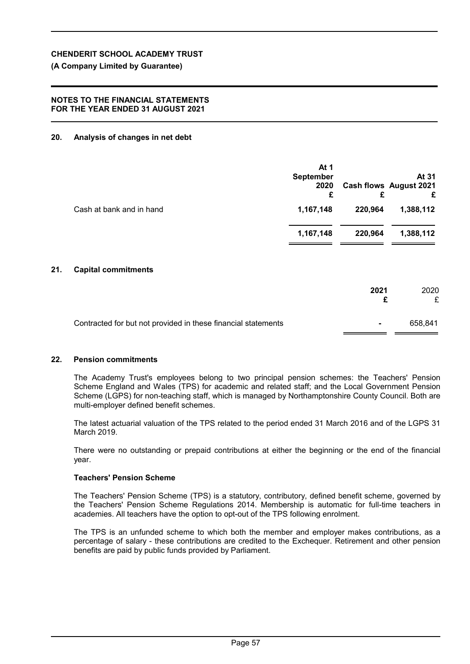# **(A Company Limited by Guarantee)**

## **NOTES TO THE FINANCIAL STATEMENTS FOR THE YEAR ENDED 31 AUGUST 2021**

# **20. Analysis of changes in net debt**

|                          | At 1<br><b>September</b><br>2020<br>£ | £       | At 31<br><b>Cash flows August 2021</b><br>£ |
|--------------------------|---------------------------------------|---------|---------------------------------------------|
| Cash at bank and in hand | 1,167,148                             | 220,964 | 1,388,112                                   |
|                          | 1,167,148                             | 220,964 | 1,388,112                                   |
|                          |                                       |         |                                             |

# **21. Capital commitments**

|                                                               | 2021           | 2020<br>£ |
|---------------------------------------------------------------|----------------|-----------|
| Contracted for but not provided in these financial statements | $\blacksquare$ | 658.841   |

### **22. Pension commitments**

The Academy Trust's employees belong to two principal pension schemes: the Teachers' Pension Scheme England and Wales (TPS) for academic and related staff; and the Local Government Pension Scheme (LGPS) for non-teaching staff, which is managed by Northamptonshire County Council. Both are multi-employer defined benefit schemes.

The latest actuarial valuation of the TPS related to the period ended 31 March 2016 and of the LGPS 31 March 2019.

There were no outstanding or prepaid contributions at either the beginning or the end of the financial year.

### **Teachers' Pension Scheme**

The Teachers' Pension Scheme (TPS) is a statutory, contributory, defined benefit scheme, governed by the Teachers' Pension Scheme Regulations 2014. Membership is automatic for full-time teachers in academies. All teachers have the option to opt-out of the TPS following enrolment.

The TPS is an unfunded scheme to which both the member and employer makes contributions, as a percentage of salary - these contributions are credited to the Exchequer. Retirement and other pension benefits are paid by public funds provided by Parliament.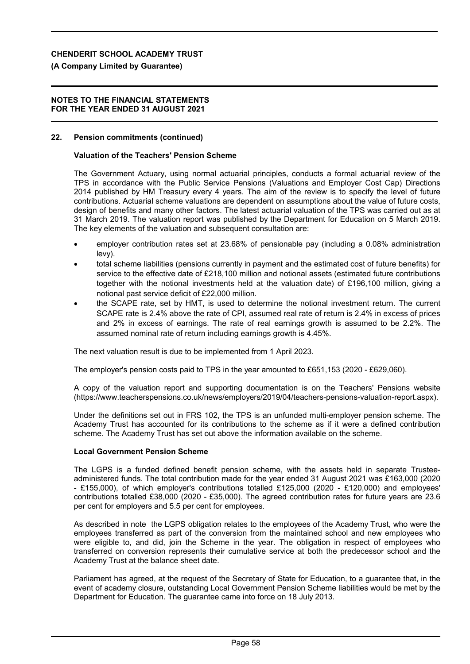### **(A Company Limited by Guarantee)**

#### **NOTES TO THE FINANCIAL STATEMENTS FOR THE YEAR ENDED 31 AUGUST 2021**

#### **22. Pension commitments (continued)**

#### **Valuation of the Teachers' Pension Scheme**

The Government Actuary, using normal actuarial principles, conducts a formal actuarial review of the TPS in accordance with the Public Service Pensions (Valuations and Employer Cost Cap) Directions 2014 published by HM Treasury every 4 years. The aim of the review is to specify the level of future contributions. Actuarial scheme valuations are dependent on assumptions about the value of future costs, design of benefits and many other factors. The latest actuarial valuation of the TPS was carried out as at 31 March 2019. The valuation report was published by the Department for Education on 5 March 2019. The key elements of the valuation and subsequent consultation are:

- employer contribution rates set at 23.68% of pensionable pay (including a 0.08% administration levy).
- total scheme liabilities (pensions currently in payment and the estimated cost of future benefits) for service to the effective date of £218,100 million and notional assets (estimated future contributions together with the notional investments held at the valuation date) of £196,100 million, giving a notional past service deficit of £22,000 million.
- the SCAPE rate, set by HMT, is used to determine the notional investment return. The current SCAPE rate is 2.4% above the rate of CPI, assumed real rate of return is 2.4% in excess of prices and 2% in excess of earnings. The rate of real earnings growth is assumed to be 2.2%. The assumed nominal rate of return including earnings growth is 4.45%.

The next valuation result is due to be implemented from 1 April 2023.

The employer's pension costs paid to TPS in the year amounted to £651,153 (2020 - £629,060).

A copy of the valuation report and supporting documentation is on the Teachers' Pensions website (https://www.teacherspensions.co.uk/news/employers/2019/04/teachers-pensions-valuation-report.aspx).

Under the definitions set out in FRS 102, the TPS is an unfunded multi-employer pension scheme. The Academy Trust has accounted for its contributions to the scheme as if it were a defined contribution scheme. The Academy Trust has set out above the information available on the scheme.

#### **Local Government Pension Scheme**

The LGPS is a funded defined benefit pension scheme, with the assets held in separate Trusteeadministered funds. The total contribution made for the year ended 31 August 2021 was £163,000 (2020 - £155,000), of which employer's contributions totalled £125,000 (2020 - £120,000) and employees' contributions totalled £38,000 (2020 - £35,000). The agreed contribution rates for future years are 23.6 per cent for employers and 5.5 per cent for employees.

As described in note the LGPS obligation relates to the employees of the Academy Trust, who were the employees transferred as part of the conversion from the maintained school and new employees who were eligible to, and did, join the Scheme in the year. The obligation in respect of employees who transferred on conversion represents their cumulative service at both the predecessor school and the Academy Trust at the balance sheet date.

Parliament has agreed, at the request of the Secretary of State for Education, to a guarantee that, in the event of academy closure, outstanding Local Government Pension Scheme liabilities would be met by the Department for Education. The guarantee came into force on 18 July 2013.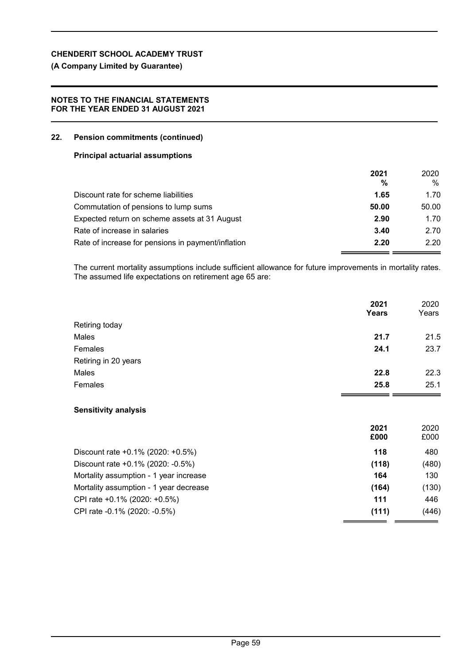**(A Company Limited by Guarantee)**

## **NOTES TO THE FINANCIAL STATEMENTS FOR THE YEAR ENDED 31 AUGUST 2021**

## **22. Pension commitments (continued)**

### **Principal actuarial assumptions**

|                                                    | 2021  | 2020  |
|----------------------------------------------------|-------|-------|
|                                                    | %     | %     |
| Discount rate for scheme liabilities               | 1.65  | 1.70  |
| Commutation of pensions to lump sums               | 50.00 | 50.00 |
| Expected return on scheme assets at 31 August      | 2.90  | 1.70  |
| Rate of increase in salaries                       | 3.40  | 2.70  |
| Rate of increase for pensions in payment/inflation | 2.20  | 2.20  |

The current mortality assumptions include sufficient allowance for future improvements in mortality rates. The assumed life expectations on retirement age 65 are:

|                      | 2021<br>Years | 2020<br>Years |
|----------------------|---------------|---------------|
| Retiring today       |               |               |
| Males                | 21.7          | 21.5          |
| Females              | 24.1          | 23.7          |
| Retiring in 20 years |               |               |
| Males                | 22.8          | 22.3          |
| Females              | 25.8          | 25.1          |

## **Sensitivity analysis**

|                                          | 2021<br>£000 | 2020<br>£000 |
|------------------------------------------|--------------|--------------|
| Discount rate $+0.1\%$ (2020: $+0.5\%$ ) | 118          | 480          |
| Discount rate +0.1% (2020: -0.5%)        | (118)        | (480)        |
| Mortality assumption - 1 year increase   | 164          | 130          |
| Mortality assumption - 1 year decrease   | (164)        | (130)        |
| CPI rate +0.1% (2020: +0.5%)             | 111          | 446          |
| CPI rate -0.1% (2020: -0.5%)             | (111)        | (446)        |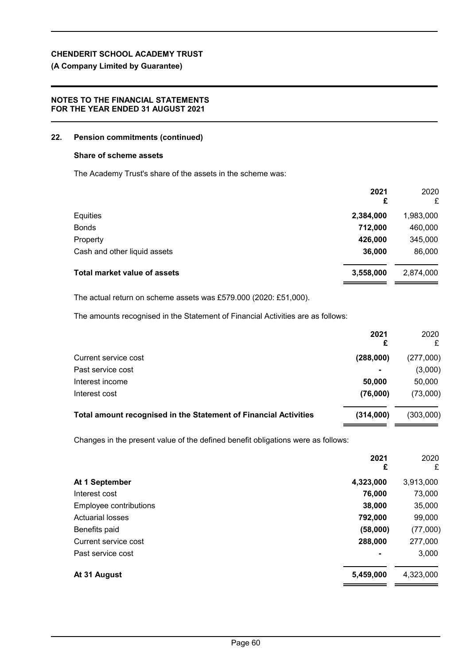# **(A Company Limited by Guarantee)**

## **NOTES TO THE FINANCIAL STATEMENTS FOR THE YEAR ENDED 31 AUGUST 2021**

### **22. Pension commitments (continued)**

### **Share of scheme assets**

The Academy Trust's share of the assets in the scheme was:

|                                     | 2021<br>£ | 2020<br>£ |
|-------------------------------------|-----------|-----------|
| Equities                            | 2,384,000 | 1,983,000 |
| <b>Bonds</b>                        | 712,000   | 460,000   |
| Property                            | 426,000   | 345,000   |
| Cash and other liquid assets        | 36,000    | 86,000    |
| <b>Total market value of assets</b> | 3,558,000 | 2,874,000 |

The actual return on scheme assets was £579.000 (2020: £51,000).

The amounts recognised in the Statement of Financial Activities are as follows:

|                                                                         | 2021           | 2020      |
|-------------------------------------------------------------------------|----------------|-----------|
| Current service cost                                                    | (288,000)      | (277,000) |
| Past service cost                                                       | $\blacksquare$ | (3,000)   |
| Interest income                                                         | 50,000         | 50,000    |
| Interest cost                                                           | (76,000)       | (73,000)  |
| <b>Total amount recognised in the Statement of Financial Activities</b> | (314,000)      | (303,000) |

Changes in the present value of the defined benefit obligations were as follows:

|                         | 2021<br>£      | 2020<br>£ |
|-------------------------|----------------|-----------|
| At 1 September          | 4,323,000      | 3,913,000 |
| Interest cost           | 76,000         | 73,000    |
| Employee contributions  | 38,000         | 35,000    |
| <b>Actuarial losses</b> | 792,000        | 99,000    |
| Benefits paid           | (58,000)       | (77,000)  |
| Current service cost    | 288,000        | 277,000   |
| Past service cost       | $\blacksquare$ | 3,000     |
| At 31 August            | 5,459,000      | 4,323,000 |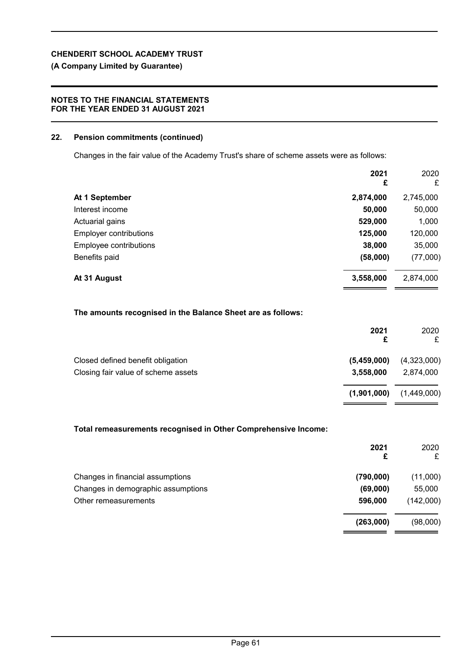# **(A Company Limited by Guarantee)**

## **NOTES TO THE FINANCIAL STATEMENTS FOR THE YEAR ENDED 31 AUGUST 2021**

### **22. Pension commitments (continued)**

Changes in the fair value of the Academy Trust's share of scheme assets were as follows:

|                        | 2021<br>£ | 2020<br>£ |
|------------------------|-----------|-----------|
| At 1 September         | 2,874,000 | 2,745,000 |
| Interest income        | 50,000    | 50,000    |
| Actuarial gains        | 529,000   | 1,000     |
| Employer contributions | 125,000   | 120,000   |
| Employee contributions | 38,000    | 35,000    |
| Benefits paid          | (58,000)  | (77,000)  |
| At 31 August           | 3,558,000 | 2,874,000 |

### **The amounts recognised in the Balance Sheet are as follows:**

|                                     | 2021        | 2020<br>£   |
|-------------------------------------|-------------|-------------|
| Closed defined benefit obligation   | (5,459,000) | (4,323,000) |
| Closing fair value of scheme assets | 3,558,000   | 2,874,000   |
|                                     | (1,901,000) | (1,449,000) |

### **Total remeasurements recognised in Other Comprehensive Income:**

|                                    | 2021<br>£ | 2020<br>£ |
|------------------------------------|-----------|-----------|
| Changes in financial assumptions   | (790,000) | (11,000)  |
| Changes in demographic assumptions | (69,000)  | 55,000    |
| Other remeasurements               | 596,000   | (142,000) |
|                                    | (263,000) | (98,000)  |